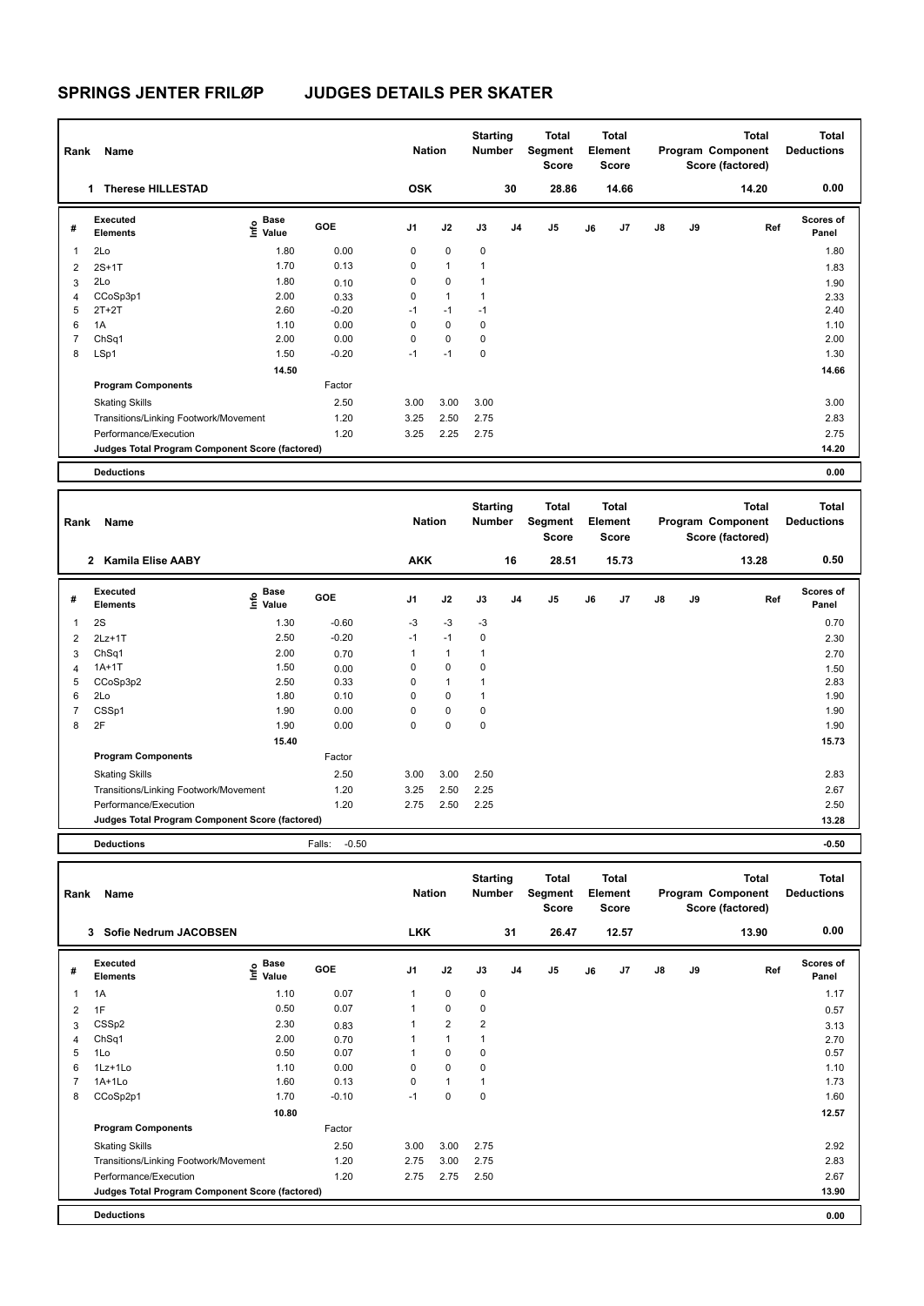| Rank                    | Name                                            |                           |         | <b>Nation</b> |              | <b>Starting</b><br>Number |                | Total<br>Segment<br><b>Score</b> |    | <b>Total</b><br>Element<br><b>Score</b> |               |    | <b>Total</b><br>Program Component<br>Score (factored) | <b>Total</b><br><b>Deductions</b> |
|-------------------------|-------------------------------------------------|---------------------------|---------|---------------|--------------|---------------------------|----------------|----------------------------------|----|-----------------------------------------|---------------|----|-------------------------------------------------------|-----------------------------------|
|                         | <b>Therese HILLESTAD</b><br>1                   |                           |         | <b>OSK</b>    |              |                           | 30             | 28.86                            |    | 14.66                                   |               |    | 14.20                                                 | 0.00                              |
| #                       | Executed<br><b>Elements</b>                     | Base<br>o Base<br>⊆ Value | GOE     | J1            | J2           | J3                        | J <sub>4</sub> | J5                               | J6 | J7                                      | $\mathsf{J}8$ | J9 | Ref                                                   | <b>Scores of</b><br>Panel         |
| $\overline{\mathbf{1}}$ | 2Lo                                             | 1.80                      | 0.00    | 0             | $\mathbf 0$  | $\mathbf 0$               |                |                                  |    |                                         |               |    |                                                       | 1.80                              |
| 2                       | $2S+1T$                                         | 1.70                      | 0.13    | 0             | $\mathbf{1}$ | 1                         |                |                                  |    |                                         |               |    |                                                       | 1.83                              |
| 3                       | 2Lo                                             | 1.80                      | 0.10    | 0             | $\mathbf 0$  | $\mathbf{1}$              |                |                                  |    |                                         |               |    |                                                       | 1.90                              |
| 4                       | CCoSp3p1                                        | 2.00                      | 0.33    | 0             | $\mathbf{1}$ | $\mathbf{1}$              |                |                                  |    |                                         |               |    |                                                       | 2.33                              |
| 5                       | $2T+2T$                                         | 2.60                      | $-0.20$ | $-1$          | $-1$         | $-1$                      |                |                                  |    |                                         |               |    |                                                       | 2.40                              |
| 6                       | 1A                                              | 1.10                      | 0.00    | 0             | $\mathbf 0$  | $\mathbf 0$               |                |                                  |    |                                         |               |    |                                                       | 1.10                              |
| 7                       | ChSq1                                           | 2.00                      | 0.00    | 0             | $\mathbf 0$  | $\mathbf 0$               |                |                                  |    |                                         |               |    |                                                       | 2.00                              |
| 8                       | LSp1                                            | 1.50                      | $-0.20$ | $-1$          | $-1$         | $\mathbf 0$               |                |                                  |    |                                         |               |    |                                                       | 1.30                              |
|                         |                                                 | 14.50                     |         |               |              |                           |                |                                  |    |                                         |               |    |                                                       | 14.66                             |
|                         | <b>Program Components</b>                       |                           | Factor  |               |              |                           |                |                                  |    |                                         |               |    |                                                       |                                   |
|                         | <b>Skating Skills</b>                           |                           | 2.50    | 3.00          | 3.00         | 3.00                      |                |                                  |    |                                         |               |    |                                                       | 3.00                              |
|                         | Transitions/Linking Footwork/Movement           |                           | 1.20    | 3.25          | 2.50         | 2.75                      |                |                                  |    |                                         |               |    |                                                       | 2.83                              |
|                         | Performance/Execution                           |                           | 1.20    | 3.25          | 2.25         | 2.75                      |                |                                  |    |                                         |               |    |                                                       | 2.75                              |
|                         | Judges Total Program Component Score (factored) |                           |         |               |              |                           |                |                                  |    |                                         |               |    |                                                       | 14.20                             |
|                         | <b>Deductions</b>                               |                           |         |               |              |                           |                |                                  |    |                                         |               |    |                                                       | 0.00                              |

| Rank                    | Name                                            |                                  |                    | <b>Nation</b>  |              | <b>Starting</b><br><b>Number</b> |    | <b>Total</b><br>Segment<br><b>Score</b> |    | Total<br>Element<br><b>Score</b> |               |    | <b>Total</b><br>Program Component<br>Score (factored) | <b>Total</b><br><b>Deductions</b> |
|-------------------------|-------------------------------------------------|----------------------------------|--------------------|----------------|--------------|----------------------------------|----|-----------------------------------------|----|----------------------------------|---------------|----|-------------------------------------------------------|-----------------------------------|
|                         | <b>Kamila Elise AABY</b><br>$\mathbf{2}$        |                                  |                    | <b>AKK</b>     |              |                                  | 16 | 28.51                                   |    | 15.73                            |               |    | 13.28                                                 | 0.50                              |
| #                       | Executed<br><b>Elements</b>                     | <b>Base</b><br>은 Base<br>트 Value | GOE                | J <sub>1</sub> | J2           | J3                               | J4 | J5                                      | J6 | J <sub>7</sub>                   | $\mathsf{J}8$ | J9 | Ref                                                   | Scores of<br>Panel                |
| $\overline{\mathbf{1}}$ | 2S                                              | 1.30                             | $-0.60$            | $-3$           | $-3$         | $-3$                             |    |                                         |    |                                  |               |    |                                                       | 0.70                              |
| $\overline{2}$          | $2Lz+1T$                                        | 2.50                             | $-0.20$            | $-1$           | $-1$         | $\pmb{0}$                        |    |                                         |    |                                  |               |    |                                                       | 2.30                              |
| 3                       | ChSq1                                           | 2.00                             | 0.70               | $\mathbf{1}$   | $\mathbf{1}$ | 1                                |    |                                         |    |                                  |               |    |                                                       | 2.70                              |
| $\overline{4}$          | $1A+1T$                                         | 1.50                             | 0.00               | 0              | $\mathbf 0$  | $\mathbf 0$                      |    |                                         |    |                                  |               |    |                                                       | 1.50                              |
| 5                       | CCoSp3p2                                        | 2.50                             | 0.33               | $\Omega$       | $\mathbf{1}$ | 1                                |    |                                         |    |                                  |               |    |                                                       | 2.83                              |
| 6                       | 2Lo                                             | 1.80                             | 0.10               | 0              | $\mathbf 0$  | 1                                |    |                                         |    |                                  |               |    |                                                       | 1.90                              |
| $\overline{7}$          | CSSp1                                           | 1.90                             | 0.00               | $\Omega$       | $\mathbf 0$  | $\mathbf 0$                      |    |                                         |    |                                  |               |    |                                                       | 1.90                              |
| 8                       | 2F                                              | 1.90                             | 0.00               | 0              | $\mathbf 0$  | $\mathbf 0$                      |    |                                         |    |                                  |               |    |                                                       | 1.90                              |
|                         |                                                 | 15.40                            |                    |                |              |                                  |    |                                         |    |                                  |               |    |                                                       | 15.73                             |
|                         | <b>Program Components</b>                       |                                  | Factor             |                |              |                                  |    |                                         |    |                                  |               |    |                                                       |                                   |
|                         | <b>Skating Skills</b>                           |                                  | 2.50               | 3.00           | 3.00         | 2.50                             |    |                                         |    |                                  |               |    |                                                       | 2.83                              |
|                         | Transitions/Linking Footwork/Movement           |                                  | 1.20               | 3.25           | 2.50         | 2.25                             |    |                                         |    |                                  |               |    |                                                       | 2.67                              |
|                         | Performance/Execution                           |                                  | 1.20               | 2.75           | 2.50         | 2.25                             |    |                                         |    |                                  |               |    |                                                       | 2.50                              |
|                         | Judges Total Program Component Score (factored) |                                  |                    |                |              |                                  |    |                                         |    |                                  |               |    |                                                       | 13.28                             |
|                         | _ _ _                                           |                                  | $ -$<br>$\sim$ $-$ |                |              |                                  |    |                                         |    |                                  |               |    |                                                       |                                   |

**Deductions** Falls: -0.50 **-0.50**

| Rank | Name                                            |                                  |         | <b>Nation</b>  |                | <b>Starting</b><br><b>Number</b> |                | Total<br>Segment<br><b>Score</b> |    | <b>Total</b><br>Element<br>Score |               |    | <b>Total</b><br>Program Component<br>Score (factored) | <b>Total</b><br><b>Deductions</b> |
|------|-------------------------------------------------|----------------------------------|---------|----------------|----------------|----------------------------------|----------------|----------------------------------|----|----------------------------------|---------------|----|-------------------------------------------------------|-----------------------------------|
|      | Sofie Nedrum JACOBSEN<br>3                      |                                  |         | <b>LKK</b>     |                |                                  | 31             | 26.47                            |    | 12.57                            |               |    | 13.90                                                 | 0.00                              |
| #    | <b>Executed</b><br><b>Elements</b>              | <b>Base</b><br>e Base<br>⊆ Value | GOE     | J <sub>1</sub> | J2             | J3                               | J <sub>4</sub> | J5                               | J6 | J7                               | $\mathsf{J}8$ | J9 | Ref                                                   | <b>Scores of</b><br>Panel         |
| 1    | 1A                                              | 1.10                             | 0.07    | 1              | $\mathbf 0$    | 0                                |                |                                  |    |                                  |               |    |                                                       | 1.17                              |
| 2    | 1F                                              | 0.50                             | 0.07    | $\mathbf{1}$   | 0              | 0                                |                |                                  |    |                                  |               |    |                                                       | 0.57                              |
| 3    | CSSp2                                           | 2.30                             | 0.83    | 1              | $\overline{2}$ | 2                                |                |                                  |    |                                  |               |    |                                                       | 3.13                              |
| 4    | ChSq <sub>1</sub>                               | 2.00                             | 0.70    | 1              | $\mathbf{1}$   | 1                                |                |                                  |    |                                  |               |    |                                                       | 2.70                              |
| 5    | 1Lo                                             | 0.50                             | 0.07    | 1              | $\mathbf 0$    | 0                                |                |                                  |    |                                  |               |    |                                                       | 0.57                              |
| 6    | 1Lz+1Lo                                         | 1.10                             | 0.00    | 0              | $\mathbf 0$    | 0                                |                |                                  |    |                                  |               |    |                                                       | 1.10                              |
|      | $1A+1L0$                                        | 1.60                             | 0.13    | 0              | $\mathbf{1}$   | 1                                |                |                                  |    |                                  |               |    |                                                       | 1.73                              |
| 8    | CCoSp2p1                                        | 1.70                             | $-0.10$ | $-1$           | $\pmb{0}$      | 0                                |                |                                  |    |                                  |               |    |                                                       | 1.60                              |
|      |                                                 | 10.80                            |         |                |                |                                  |                |                                  |    |                                  |               |    |                                                       | 12.57                             |
|      | <b>Program Components</b>                       |                                  | Factor  |                |                |                                  |                |                                  |    |                                  |               |    |                                                       |                                   |
|      | <b>Skating Skills</b>                           |                                  | 2.50    | 3.00           | 3.00           | 2.75                             |                |                                  |    |                                  |               |    |                                                       | 2.92                              |
|      | Transitions/Linking Footwork/Movement           |                                  | 1.20    | 2.75           | 3.00           | 2.75                             |                |                                  |    |                                  |               |    |                                                       | 2.83                              |
|      | Performance/Execution                           |                                  | 1.20    | 2.75           | 2.75           | 2.50                             |                |                                  |    |                                  |               |    |                                                       | 2.67                              |
|      | Judges Total Program Component Score (factored) |                                  |         |                |                |                                  |                |                                  |    |                                  |               |    |                                                       | 13.90                             |
|      | <b>Deductions</b>                               |                                  |         |                |                |                                  |                |                                  |    |                                  |               |    |                                                       | 0.00                              |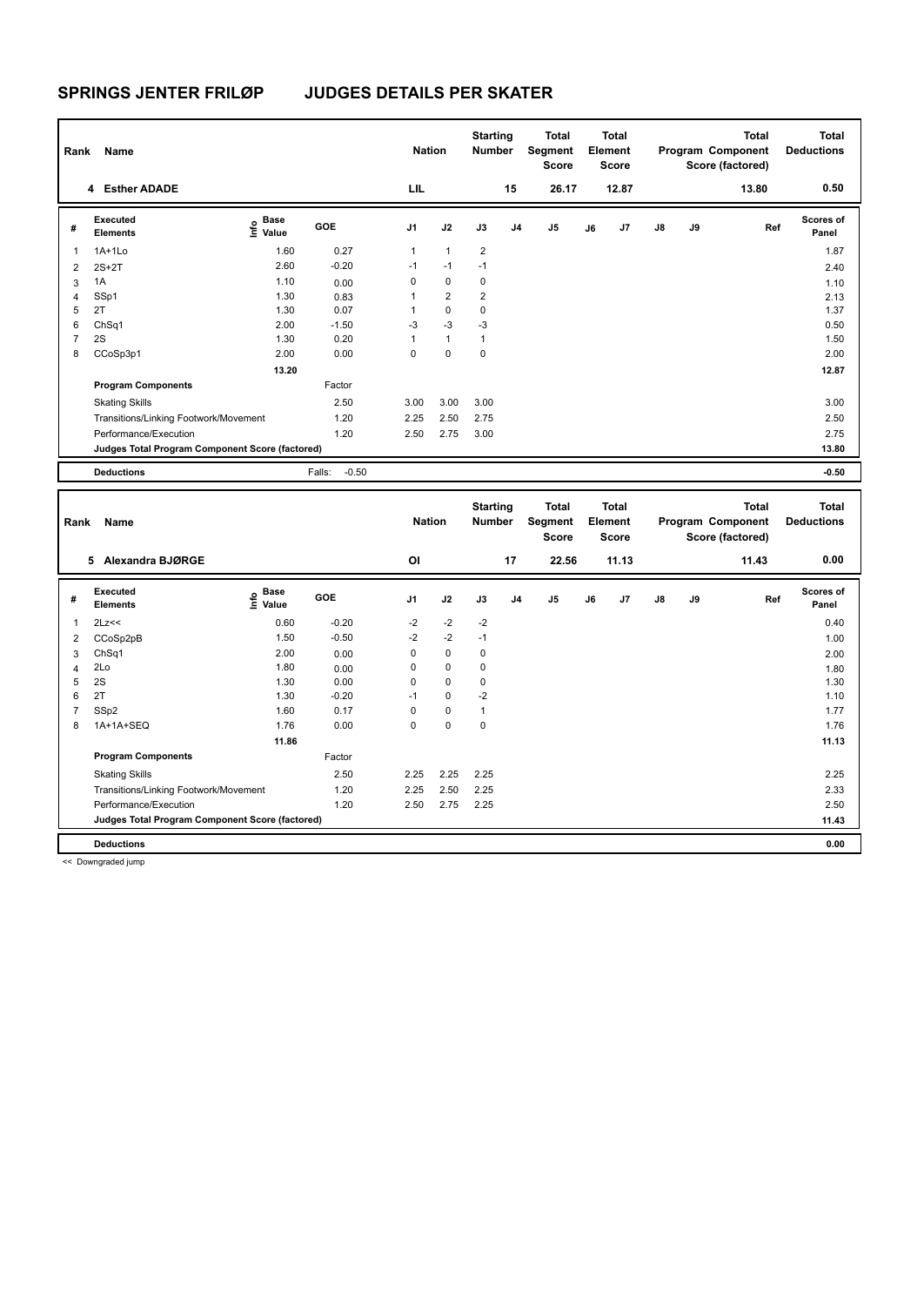| Rank           | Name                                            |                                  |                   | <b>Nation</b>  |                      | <b>Starting</b><br><b>Number</b> |                | <b>Total</b><br>Segment<br>Score |    | <b>Total</b><br>Element<br><b>Score</b> |               |    | <b>Total</b><br>Program Component<br>Score (factored) | Total<br><b>Deductions</b> |
|----------------|-------------------------------------------------|----------------------------------|-------------------|----------------|----------------------|----------------------------------|----------------|----------------------------------|----|-----------------------------------------|---------------|----|-------------------------------------------------------|----------------------------|
|                | 4 Esther ADADE                                  |                                  |                   | LIL            |                      |                                  | 15             | 26.17                            |    | 12.87                                   |               |    | 13.80                                                 | 0.50                       |
| #              | Executed<br><b>Elements</b>                     | <b>Base</b><br>o Base<br>⊆ Value | <b>GOE</b>        | J <sub>1</sub> | J2                   | J3                               | J <sub>4</sub> | J <sub>5</sub>                   | J6 | J7                                      | $\mathsf{J}8$ | J9 | Ref                                                   | Scores of<br>Panel         |
|                | $1A+1L0$                                        | 1.60                             | 0.27              | $\mathbf{1}$   | $\blacktriangleleft$ | $\overline{2}$                   |                |                                  |    |                                         |               |    |                                                       | 1.87                       |
| $\overline{2}$ | $2S+2T$                                         | 2.60                             | $-0.20$           | $-1$           | $-1$                 | $-1$                             |                |                                  |    |                                         |               |    |                                                       | 2.40                       |
| 3              | 1A                                              | 1.10                             | 0.00              | 0              | $\mathbf 0$          | 0                                |                |                                  |    |                                         |               |    |                                                       | 1.10                       |
| $\overline{4}$ | SSp1                                            | 1.30                             | 0.83              | 1              | $\overline{2}$       | 2                                |                |                                  |    |                                         |               |    |                                                       | 2.13                       |
| 5              | 2T                                              | 1.30                             | 0.07              | 1              | $\mathbf 0$          | 0                                |                |                                  |    |                                         |               |    |                                                       | 1.37                       |
| 6              | ChSq1                                           | 2.00                             | $-1.50$           | -3             | $-3$                 | $-3$                             |                |                                  |    |                                         |               |    |                                                       | 0.50                       |
| $\overline{7}$ | 2S                                              | 1.30                             | 0.20              | 1              | $\mathbf{1}$         | 1                                |                |                                  |    |                                         |               |    |                                                       | 1.50                       |
| 8              | CCoSp3p1                                        | 2.00                             | 0.00              | 0              | $\mathbf 0$          | 0                                |                |                                  |    |                                         |               |    |                                                       | 2.00                       |
|                |                                                 | 13.20                            |                   |                |                      |                                  |                |                                  |    |                                         |               |    |                                                       | 12.87                      |
|                | <b>Program Components</b>                       |                                  | Factor            |                |                      |                                  |                |                                  |    |                                         |               |    |                                                       |                            |
|                | <b>Skating Skills</b>                           |                                  | 2.50              | 3.00           | 3.00                 | 3.00                             |                |                                  |    |                                         |               |    |                                                       | 3.00                       |
|                | Transitions/Linking Footwork/Movement           |                                  | 1.20              | 2.25           | 2.50                 | 2.75                             |                |                                  |    |                                         |               |    |                                                       | 2.50                       |
|                | Performance/Execution                           |                                  | 1.20              | 2.50           | 2.75                 | 3.00                             |                |                                  |    |                                         |               |    |                                                       | 2.75                       |
|                | Judges Total Program Component Score (factored) |                                  |                   |                |                      |                                  |                |                                  |    |                                         |               |    |                                                       | 13.80                      |
|                | <b>Deductions</b>                               |                                  | $-0.50$<br>Falls: |                |                      |                                  |                |                                  |    |                                         |               |    |                                                       | $-0.50$                    |

| Rank | Name                                            |                                  |         | <b>Nation</b> |             | <b>Starting</b><br><b>Number</b> |                | <b>Total</b><br>Segment<br><b>Score</b> |    | <b>Total</b><br>Element<br><b>Score</b> |               |    | <b>Total</b><br>Program Component<br>Score (factored) | <b>Total</b><br><b>Deductions</b> |
|------|-------------------------------------------------|----------------------------------|---------|---------------|-------------|----------------------------------|----------------|-----------------------------------------|----|-----------------------------------------|---------------|----|-------------------------------------------------------|-----------------------------------|
|      | Alexandra BJØRGE<br>5                           |                                  |         | ΟI            |             |                                  | 17             | 22.56                                   |    | 11.13                                   |               |    | 11.43                                                 | 0.00                              |
| #    | Executed<br><b>Elements</b>                     | <b>Base</b><br>e Base<br>⊆ Value | GOE     | J1            | J2          | J3                               | J <sub>4</sub> | J <sub>5</sub>                          | J6 | J7                                      | $\mathsf{J}8$ | J9 | Ref                                                   | <b>Scores of</b><br>Panel         |
| 1    | 2Lz<<                                           | 0.60                             | $-0.20$ | $-2$          | $-2$        | $-2$                             |                |                                         |    |                                         |               |    |                                                       | 0.40                              |
| 2    | CCoSp2pB                                        | 1.50                             | $-0.50$ | $-2$          | $-2$        | $-1$                             |                |                                         |    |                                         |               |    |                                                       | 1.00                              |
| 3    | ChSq1                                           | 2.00                             | 0.00    | 0             | $\mathbf 0$ | 0                                |                |                                         |    |                                         |               |    |                                                       | 2.00                              |
| 4    | 2Lo                                             | 1.80                             | 0.00    | 0             | $\mathbf 0$ | 0                                |                |                                         |    |                                         |               |    |                                                       | 1.80                              |
| 5    | 2S                                              | 1.30                             | 0.00    | 0             | $\mathbf 0$ | 0                                |                |                                         |    |                                         |               |    |                                                       | 1.30                              |
| 6    | 2T                                              | 1.30                             | $-0.20$ | $-1$          | $\mathbf 0$ | $-2$                             |                |                                         |    |                                         |               |    |                                                       | 1.10                              |
| 7    | SSp2                                            | 1.60                             | 0.17    | 0             | $\mathbf 0$ | 1                                |                |                                         |    |                                         |               |    |                                                       | 1.77                              |
| 8    | 1A+1A+SEQ                                       | 1.76                             | 0.00    | 0             | $\mathbf 0$ | 0                                |                |                                         |    |                                         |               |    |                                                       | 1.76                              |
|      |                                                 | 11.86                            |         |               |             |                                  |                |                                         |    |                                         |               |    |                                                       | 11.13                             |
|      | <b>Program Components</b>                       |                                  | Factor  |               |             |                                  |                |                                         |    |                                         |               |    |                                                       |                                   |
|      | <b>Skating Skills</b>                           |                                  | 2.50    | 2.25          | 2.25        | 2.25                             |                |                                         |    |                                         |               |    |                                                       | 2.25                              |
|      | Transitions/Linking Footwork/Movement           |                                  | 1.20    | 2.25          | 2.50        | 2.25                             |                |                                         |    |                                         |               |    |                                                       | 2.33                              |
|      | Performance/Execution                           |                                  | 1.20    | 2.50          | 2.75        | 2.25                             |                |                                         |    |                                         |               |    |                                                       | 2.50                              |
|      | Judges Total Program Component Score (factored) |                                  |         |               |             |                                  |                |                                         |    |                                         |               |    |                                                       | 11.43                             |
|      | <b>Deductions</b>                               |                                  |         |               |             |                                  |                |                                         |    |                                         |               |    |                                                       | 0.00                              |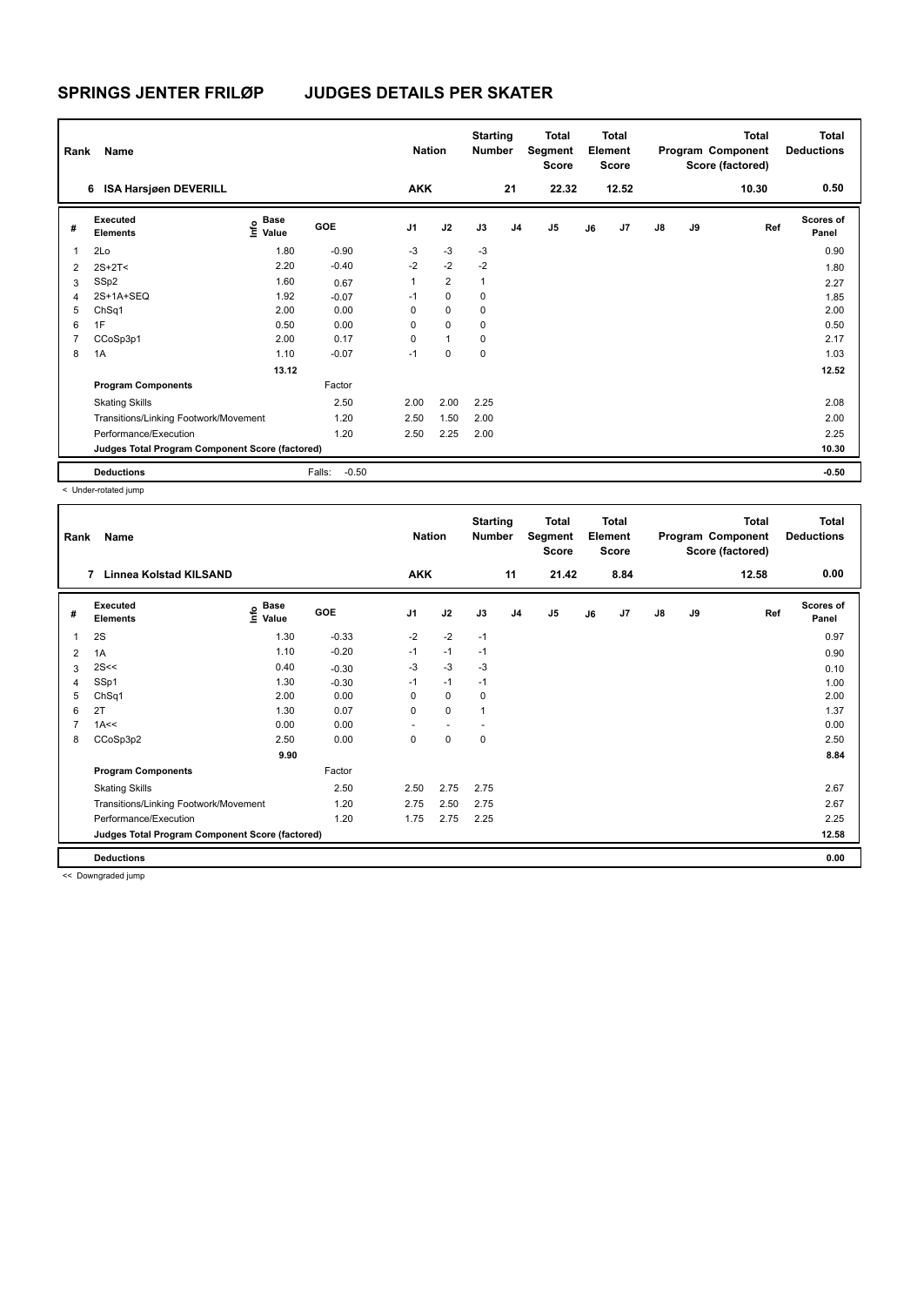| Rank           | Name                                            |                                  |                   | <b>Nation</b>  |                | <b>Starting</b><br><b>Number</b> |                | Total<br>Segment<br><b>Score</b> |    | <b>Total</b><br>Element<br><b>Score</b> |    |    | <b>Total</b><br>Program Component<br>Score (factored) | Total<br><b>Deductions</b> |
|----------------|-------------------------------------------------|----------------------------------|-------------------|----------------|----------------|----------------------------------|----------------|----------------------------------|----|-----------------------------------------|----|----|-------------------------------------------------------|----------------------------|
|                | <b>ISA Harsjøen DEVERILL</b><br>6               |                                  |                   | <b>AKK</b>     |                |                                  | 21             | 22.32                            |    | 12.52                                   |    |    | 10.30                                                 | 0.50                       |
| #              | Executed<br><b>Elements</b>                     | <b>Base</b><br>o Base<br>⊆ Value | GOE               | J <sub>1</sub> | J2             | J3                               | J <sub>4</sub> | J <sub>5</sub>                   | J6 | J7                                      | J8 | J9 | Ref                                                   | <b>Scores of</b><br>Panel  |
| $\mathbf{1}$   | 2Lo                                             | 1.80                             | $-0.90$           | $-3$           | $-3$           | $-3$                             |                |                                  |    |                                         |    |    |                                                       | 0.90                       |
| 2              | $2S+2T2$                                        | 2.20                             | $-0.40$           | $-2$           | $-2$           | $-2$                             |                |                                  |    |                                         |    |    |                                                       | 1.80                       |
| 3              | SSp2                                            | 1.60                             | 0.67              | 1              | $\overline{2}$ | 1                                |                |                                  |    |                                         |    |    |                                                       | 2.27                       |
| $\overline{4}$ | 2S+1A+SEQ                                       | 1.92                             | $-0.07$           | $-1$           | $\mathbf 0$    | 0                                |                |                                  |    |                                         |    |    |                                                       | 1.85                       |
| 5              | ChSq1                                           | 2.00                             | 0.00              | 0              | $\mathbf 0$    | 0                                |                |                                  |    |                                         |    |    |                                                       | 2.00                       |
| 6              | 1F                                              | 0.50                             | 0.00              | 0              | $\mathbf 0$    | 0                                |                |                                  |    |                                         |    |    |                                                       | 0.50                       |
| $\overline{7}$ | CCoSp3p1                                        | 2.00                             | 0.17              | 0              | $\mathbf{1}$   | 0                                |                |                                  |    |                                         |    |    |                                                       | 2.17                       |
| 8              | 1A                                              | 1.10                             | $-0.07$           | $-1$           | $\mathbf 0$    | $\mathbf 0$                      |                |                                  |    |                                         |    |    |                                                       | 1.03                       |
|                |                                                 | 13.12                            |                   |                |                |                                  |                |                                  |    |                                         |    |    |                                                       | 12.52                      |
|                | <b>Program Components</b>                       |                                  | Factor            |                |                |                                  |                |                                  |    |                                         |    |    |                                                       |                            |
|                | <b>Skating Skills</b>                           |                                  | 2.50              | 2.00           | 2.00           | 2.25                             |                |                                  |    |                                         |    |    |                                                       | 2.08                       |
|                | Transitions/Linking Footwork/Movement           |                                  | 1.20              | 2.50           | 1.50           | 2.00                             |                |                                  |    |                                         |    |    |                                                       | 2.00                       |
|                | Performance/Execution                           |                                  | 1.20              | 2.50           | 2.25           | 2.00                             |                |                                  |    |                                         |    |    |                                                       | 2.25                       |
|                | Judges Total Program Component Score (factored) |                                  |                   |                |                |                                  |                |                                  |    |                                         |    |    |                                                       | 10.30                      |
|                | <b>Deductions</b>                               |                                  | Falls:<br>$-0.50$ |                |                |                                  |                |                                  |    |                                         |    |    |                                                       | $-0.50$                    |

< Under-rotated jump

| Rank           | Name                                            |                                             |            | <b>Nation</b>  |                | <b>Starting</b><br><b>Number</b> |                | Total<br>Segment<br>Score |    | <b>Total</b><br>Element<br><b>Score</b> |               |    | <b>Total</b><br>Program Component<br>Score (factored) | <b>Total</b><br><b>Deductions</b> |
|----------------|-------------------------------------------------|---------------------------------------------|------------|----------------|----------------|----------------------------------|----------------|---------------------------|----|-----------------------------------------|---------------|----|-------------------------------------------------------|-----------------------------------|
|                | Linnea Kolstad KILSAND<br>7                     |                                             |            | <b>AKK</b>     |                |                                  | 11             | 21.42                     |    | 8.84                                    |               |    | 12.58                                                 | 0.00                              |
| #              | Executed<br><b>Elements</b>                     | <b>Base</b><br>e <sup>Base</sup><br>⊆ Value | <b>GOE</b> | J <sub>1</sub> | J2             | J3                               | J <sub>4</sub> | J <sub>5</sub>            | J6 | J7                                      | $\mathsf{J}8$ | J9 | Ref                                                   | Scores of<br>Panel                |
| 1              | 2S                                              | 1.30                                        | $-0.33$    | $-2$           | $-2$           | $-1$                             |                |                           |    |                                         |               |    |                                                       | 0.97                              |
| 2              | 1A                                              | 1.10                                        | $-0.20$    | $-1$           | $-1$           | $-1$                             |                |                           |    |                                         |               |    |                                                       | 0.90                              |
| 3              | 2S<<                                            | 0.40                                        | $-0.30$    | $-3$           | $-3$           | $-3$                             |                |                           |    |                                         |               |    |                                                       | 0.10                              |
| 4              | SSp1                                            | 1.30                                        | $-0.30$    | $-1$           | $-1$           | $-1$                             |                |                           |    |                                         |               |    |                                                       | 1.00                              |
| 5              | ChSq1                                           | 2.00                                        | 0.00       | 0              | $\mathbf 0$    | 0                                |                |                           |    |                                         |               |    |                                                       | 2.00                              |
| 6              | 2T                                              | 1.30                                        | 0.07       | 0              | $\mathbf 0$    | 1                                |                |                           |    |                                         |               |    |                                                       | 1.37                              |
| $\overline{7}$ | 1A<<                                            | 0.00                                        | 0.00       | ٠              | $\overline{a}$ | $\overline{\phantom{a}}$         |                |                           |    |                                         |               |    |                                                       | 0.00                              |
| 8              | CCoSp3p2                                        | 2.50                                        | 0.00       | 0              | $\pmb{0}$      | 0                                |                |                           |    |                                         |               |    |                                                       | 2.50                              |
|                |                                                 | 9.90                                        |            |                |                |                                  |                |                           |    |                                         |               |    |                                                       | 8.84                              |
|                | <b>Program Components</b>                       |                                             | Factor     |                |                |                                  |                |                           |    |                                         |               |    |                                                       |                                   |
|                | <b>Skating Skills</b>                           |                                             | 2.50       | 2.50           | 2.75           | 2.75                             |                |                           |    |                                         |               |    |                                                       | 2.67                              |
|                | Transitions/Linking Footwork/Movement           |                                             | 1.20       | 2.75           | 2.50           | 2.75                             |                |                           |    |                                         |               |    |                                                       | 2.67                              |
|                | Performance/Execution                           |                                             | 1.20       | 1.75           | 2.75           | 2.25                             |                |                           |    |                                         |               |    |                                                       | 2.25                              |
|                | Judges Total Program Component Score (factored) |                                             |            |                |                |                                  |                |                           |    |                                         |               |    |                                                       | 12.58                             |
|                | <b>Deductions</b>                               |                                             |            |                |                |                                  |                |                           |    |                                         |               |    |                                                       | 0.00                              |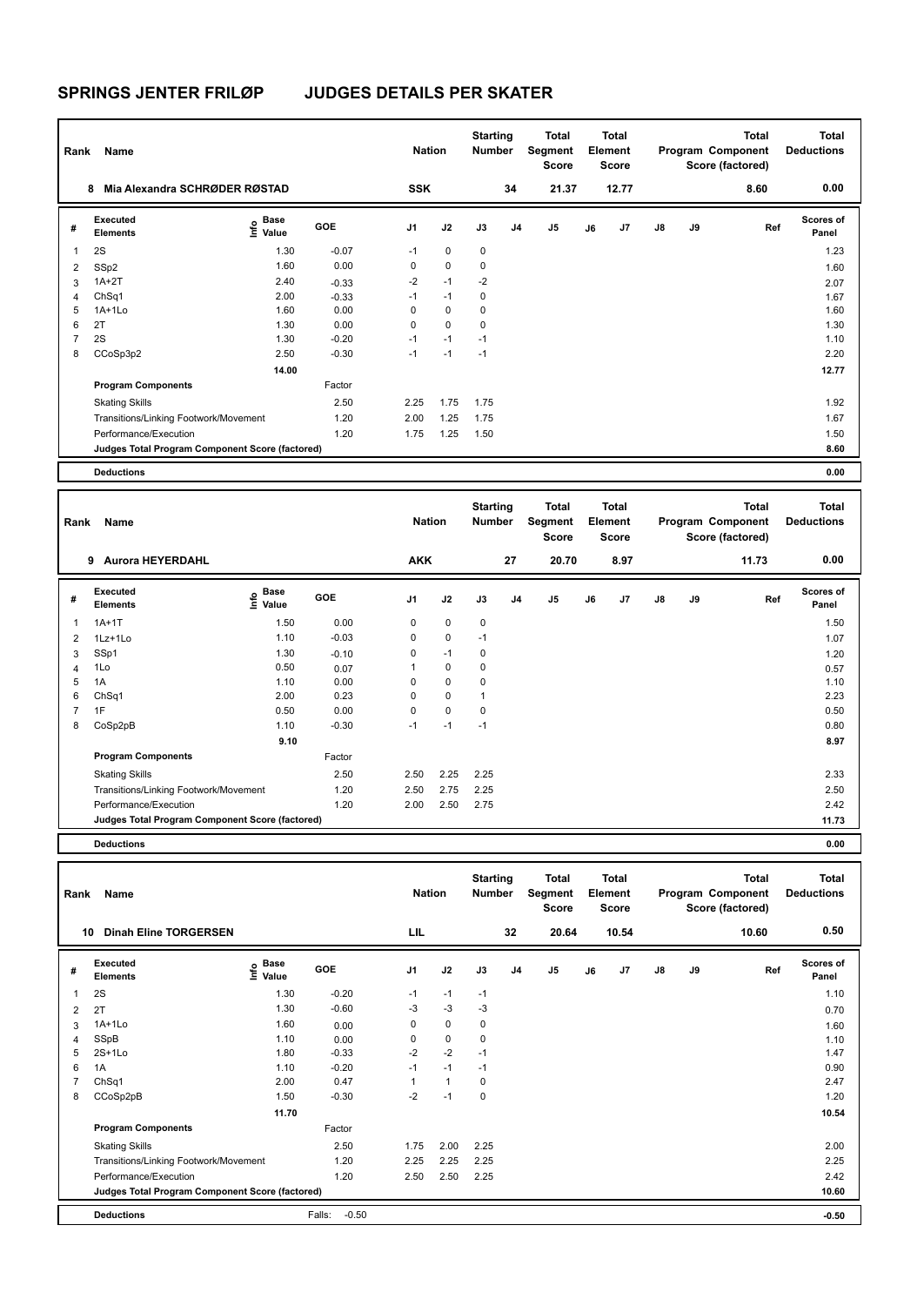| Rank                    | Name                                            |                           |         | <b>Nation</b>  |             | <b>Starting</b><br>Number |                | Total<br>Segment<br><b>Score</b> |    | <b>Total</b><br>Element<br><b>Score</b> |               |    | <b>Total</b><br>Program Component<br>Score (factored) | <b>Total</b><br><b>Deductions</b> |
|-------------------------|-------------------------------------------------|---------------------------|---------|----------------|-------------|---------------------------|----------------|----------------------------------|----|-----------------------------------------|---------------|----|-------------------------------------------------------|-----------------------------------|
|                         | Mia Alexandra SCHRØDER RØSTAD<br>8              |                           |         | <b>SSK</b>     |             |                           | 34             | 21.37                            |    | 12.77                                   |               |    | 8.60                                                  | 0.00                              |
| #                       | Executed<br><b>Elements</b>                     | Base<br>o Base<br>⊆ Value | GOE     | J <sub>1</sub> | J2          | J3                        | J <sub>4</sub> | J5                               | J6 | J7                                      | $\mathsf{J}8$ | J9 | Ref                                                   | <b>Scores of</b><br>Panel         |
| $\overline{\mathbf{1}}$ | 2S                                              | 1.30                      | $-0.07$ | $-1$           | $\mathbf 0$ | $\mathbf 0$               |                |                                  |    |                                         |               |    |                                                       | 1.23                              |
| 2                       | SSp2                                            | 1.60                      | 0.00    | 0              | $\mathbf 0$ | 0                         |                |                                  |    |                                         |               |    |                                                       | 1.60                              |
| 3                       | $1A+2T$                                         | 2.40                      | $-0.33$ | $-2$           | $-1$        | $-2$                      |                |                                  |    |                                         |               |    |                                                       | 2.07                              |
| 4                       | ChSq1                                           | 2.00                      | $-0.33$ | $-1$           | $-1$        | 0                         |                |                                  |    |                                         |               |    |                                                       | 1.67                              |
| 5                       | $1A+1L0$                                        | 1.60                      | 0.00    | 0              | 0           | $\mathbf 0$               |                |                                  |    |                                         |               |    |                                                       | 1.60                              |
| 6                       | 2T                                              | 1.30                      | 0.00    | 0              | $\mathbf 0$ | $\mathbf 0$               |                |                                  |    |                                         |               |    |                                                       | 1.30                              |
| 7                       | 2S                                              | 1.30                      | $-0.20$ | $-1$           | $-1$        | $-1$                      |                |                                  |    |                                         |               |    |                                                       | 1.10                              |
| 8                       | CCoSp3p2                                        | 2.50                      | $-0.30$ | $-1$           | $-1$        | $-1$                      |                |                                  |    |                                         |               |    |                                                       | 2.20                              |
|                         |                                                 | 14.00                     |         |                |             |                           |                |                                  |    |                                         |               |    |                                                       | 12.77                             |
|                         | <b>Program Components</b>                       |                           | Factor  |                |             |                           |                |                                  |    |                                         |               |    |                                                       |                                   |
|                         | <b>Skating Skills</b>                           |                           | 2.50    | 2.25           | 1.75        | 1.75                      |                |                                  |    |                                         |               |    |                                                       | 1.92                              |
|                         | Transitions/Linking Footwork/Movement           |                           | 1.20    | 2.00           | 1.25        | 1.75                      |                |                                  |    |                                         |               |    |                                                       | 1.67                              |
|                         | Performance/Execution                           |                           | 1.20    | 1.75           | 1.25        | 1.50                      |                |                                  |    |                                         |               |    |                                                       | 1.50                              |
|                         | Judges Total Program Component Score (factored) |                           |         |                |             |                           |                |                                  |    |                                         |               |    |                                                       | 8.60                              |
|                         | <b>Deductions</b>                               |                           |         |                |             |                           |                |                                  |    |                                         |               |    |                                                       | 0.00                              |

| Rank | Name                                            |                                           |            | <b>Nation</b>  |             | <b>Starting</b><br><b>Number</b> |    | Total<br>Segment<br><b>Score</b> |    | <b>Total</b><br>Element<br>Score |               |           | <b>Total</b><br>Program Component<br>Score (factored) | <b>Total</b><br><b>Deductions</b> |
|------|-------------------------------------------------|-------------------------------------------|------------|----------------|-------------|----------------------------------|----|----------------------------------|----|----------------------------------|---------------|-----------|-------------------------------------------------------|-----------------------------------|
|      | <b>Aurora HEYERDAHL</b><br>9                    |                                           |            | <b>AKK</b>     |             |                                  | 27 | 20.70                            |    | 8.97                             |               |           | 11.73                                                 | 0.00                              |
| #    | <b>Executed</b><br><b>Elements</b>              | $\frac{e}{E}$ Base<br>$\frac{e}{E}$ Value | <b>GOE</b> | J <sub>1</sub> | J2          | J3                               | J4 | J5                               | J6 | J7                               | $\mathsf{J}8$ | <b>J9</b> | Ref                                                   | <b>Scores of</b><br>Panel         |
| 1    | $1A+1T$                                         | 1.50                                      | 0.00       | $\mathbf 0$    | 0           | $\pmb{0}$                        |    |                                  |    |                                  |               |           |                                                       | 1.50                              |
| 2    | $1Lz+1Lo$                                       | 1.10                                      | $-0.03$    | $\mathbf 0$    | $\mathbf 0$ | $-1$                             |    |                                  |    |                                  |               |           |                                                       | 1.07                              |
| 3    | SSp1                                            | 1.30                                      | $-0.10$    | 0              | $-1$        | $\mathbf 0$                      |    |                                  |    |                                  |               |           |                                                       | 1.20                              |
| 4    | 1Lo                                             | 0.50                                      | 0.07       | 1              | $\mathbf 0$ | 0                                |    |                                  |    |                                  |               |           |                                                       | 0.57                              |
| 5    | 1A                                              | 1.10                                      | 0.00       | 0              | $\mathbf 0$ | $\mathbf 0$                      |    |                                  |    |                                  |               |           |                                                       | 1.10                              |
| 6    | ChSq1                                           | 2.00                                      | 0.23       | 0              | $\mathbf 0$ | $\mathbf{1}$                     |    |                                  |    |                                  |               |           |                                                       | 2.23                              |
| 7    | 1F                                              | 0.50                                      | 0.00       | 0              | $\pmb{0}$   | 0                                |    |                                  |    |                                  |               |           |                                                       | 0.50                              |
| 8    | CoSp2pB                                         | 1.10                                      | $-0.30$    | $-1$           | $-1$        | $-1$                             |    |                                  |    |                                  |               |           |                                                       | 0.80                              |
|      |                                                 | 9.10                                      |            |                |             |                                  |    |                                  |    |                                  |               |           |                                                       | 8.97                              |
|      | <b>Program Components</b>                       |                                           | Factor     |                |             |                                  |    |                                  |    |                                  |               |           |                                                       |                                   |
|      | <b>Skating Skills</b>                           |                                           | 2.50       | 2.50           | 2.25        | 2.25                             |    |                                  |    |                                  |               |           |                                                       | 2.33                              |
|      | Transitions/Linking Footwork/Movement           |                                           | 1.20       | 2.50           | 2.75        | 2.25                             |    |                                  |    |                                  |               |           |                                                       | 2.50                              |
|      | Performance/Execution                           |                                           | 1.20       | 2.00           | 2.50        | 2.75                             |    |                                  |    |                                  |               |           |                                                       | 2.42                              |
|      | Judges Total Program Component Score (factored) |                                           |            |                |             |                                  |    |                                  |    |                                  |               |           |                                                       | 11.73                             |
|      |                                                 |                                           |            |                |             |                                  |    |                                  |    |                                  |               |           |                                                       |                                   |

**Deductions 0.00**

| Rank | Name                                            |                    |                   | <b>Nation</b>  |              | <b>Starting</b><br><b>Number</b> |                | <b>Total</b><br>Segment<br><b>Score</b> |    | <b>Total</b><br>Element<br><b>Score</b> |    |    | <b>Total</b><br>Program Component<br>Score (factored) | <b>Total</b><br><b>Deductions</b> |
|------|-------------------------------------------------|--------------------|-------------------|----------------|--------------|----------------------------------|----------------|-----------------------------------------|----|-----------------------------------------|----|----|-------------------------------------------------------|-----------------------------------|
| 10   | <b>Dinah Eline TORGERSEN</b>                    |                    |                   | LIL            |              |                                  | 32             | 20.64                                   |    | 10.54                                   |    |    | 10.60                                                 | 0.50                              |
| #    | <b>Executed</b><br><b>Elements</b>              | $\frac{e}{E}$ Base | <b>GOE</b>        | J <sub>1</sub> | J2           | J3                               | J <sub>4</sub> | J <sub>5</sub>                          | J6 | J <sub>7</sub>                          | J8 | J9 | Ref                                                   | <b>Scores of</b><br>Panel         |
| 1    | 2S                                              | 1.30               | $-0.20$           | $-1$           | $-1$         | $-1$                             |                |                                         |    |                                         |    |    |                                                       | 1.10                              |
| 2    | 2T                                              | 1.30               | $-0.60$           | $-3$           | $-3$         | $-3$                             |                |                                         |    |                                         |    |    |                                                       | 0.70                              |
| 3    | $1A+1Lo$                                        | 1.60               | 0.00              | 0              | $\mathbf 0$  | 0                                |                |                                         |    |                                         |    |    |                                                       | 1.60                              |
| 4    | SSpB                                            | 1.10               | 0.00              | 0              | $\mathbf 0$  | 0                                |                |                                         |    |                                         |    |    |                                                       | 1.10                              |
| 5    | $2S+1L0$                                        | 1.80               | $-0.33$           | $-2$           | $-2$         | $-1$                             |                |                                         |    |                                         |    |    |                                                       | 1.47                              |
| 6    | 1A                                              | 1.10               | $-0.20$           | $-1$           | $-1$         | $-1$                             |                |                                         |    |                                         |    |    |                                                       | 0.90                              |
|      | ChSq <sub>1</sub>                               | 2.00               | 0.47              |                | $\mathbf{1}$ | 0                                |                |                                         |    |                                         |    |    |                                                       | 2.47                              |
| 8    | CCoSp2pB                                        | 1.50               | $-0.30$           | $-2$           | $-1$         | 0                                |                |                                         |    |                                         |    |    |                                                       | 1.20                              |
|      |                                                 | 11.70              |                   |                |              |                                  |                |                                         |    |                                         |    |    |                                                       | 10.54                             |
|      | <b>Program Components</b>                       |                    | Factor            |                |              |                                  |                |                                         |    |                                         |    |    |                                                       |                                   |
|      | <b>Skating Skills</b>                           |                    | 2.50              | 1.75           | 2.00         | 2.25                             |                |                                         |    |                                         |    |    |                                                       | 2.00                              |
|      | Transitions/Linking Footwork/Movement           |                    | 1.20              | 2.25           | 2.25         | 2.25                             |                |                                         |    |                                         |    |    |                                                       | 2.25                              |
|      | Performance/Execution                           |                    | 1.20              | 2.50           | 2.50         | 2.25                             |                |                                         |    |                                         |    |    |                                                       | 2.42                              |
|      | Judges Total Program Component Score (factored) |                    |                   |                |              |                                  |                |                                         |    |                                         |    |    |                                                       | 10.60                             |
|      | <b>Deductions</b>                               |                    | $-0.50$<br>Falls: |                |              |                                  |                |                                         |    |                                         |    |    |                                                       | $-0.50$                           |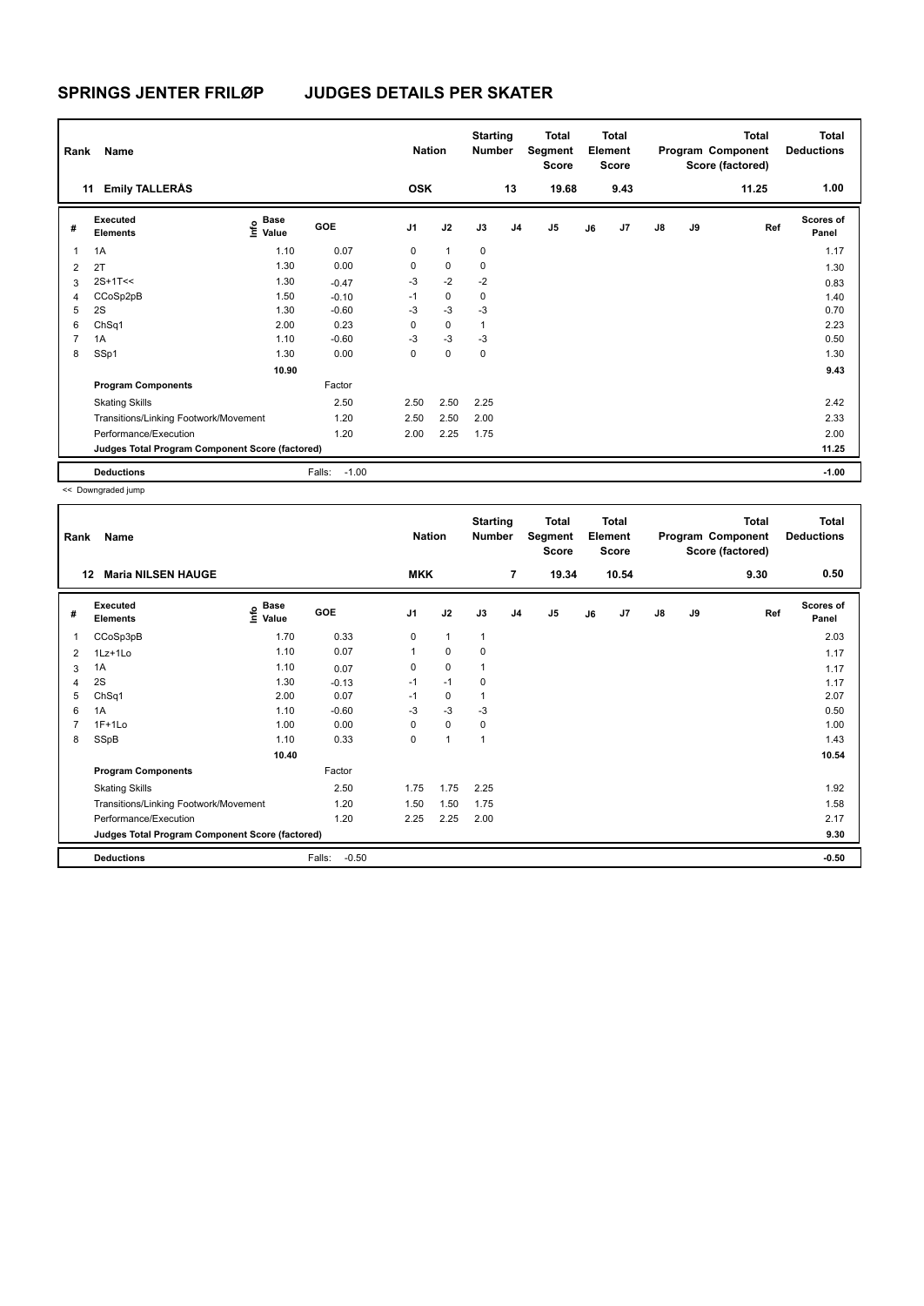| Rank | Name                                            |                                  |                   | <b>Nation</b>  |              | <b>Starting</b><br><b>Number</b> |                | <b>Total</b><br>Segment<br>Score |    | Total<br>Element<br><b>Score</b> |               |    | <b>Total</b><br>Program Component<br>Score (factored) | <b>Total</b><br><b>Deductions</b> |
|------|-------------------------------------------------|----------------------------------|-------------------|----------------|--------------|----------------------------------|----------------|----------------------------------|----|----------------------------------|---------------|----|-------------------------------------------------------|-----------------------------------|
|      | <b>Emily TALLERÅS</b><br>11                     |                                  |                   | <b>OSK</b>     |              |                                  | 13             | 19.68                            |    | 9.43                             |               |    | 11.25                                                 | 1.00                              |
| #    | Executed<br><b>Elements</b>                     | <b>Base</b><br>o Base<br>⊆ Value | GOE               | J <sub>1</sub> | J2           | J3                               | J <sub>4</sub> | J <sub>5</sub>                   | J6 | J7                               | $\mathsf{J}8$ | J9 | Ref                                                   | <b>Scores of</b><br>Panel         |
| 1    | 1A                                              | 1.10                             | 0.07              | 0              | $\mathbf{1}$ | 0                                |                |                                  |    |                                  |               |    |                                                       | 1.17                              |
| 2    | 2T                                              | 1.30                             | 0.00              | 0              | $\mathbf 0$  | 0                                |                |                                  |    |                                  |               |    |                                                       | 1.30                              |
| 3    | $2S+1T<<$                                       | 1.30                             | $-0.47$           | $-3$           | $-2$         | $-2$                             |                |                                  |    |                                  |               |    |                                                       | 0.83                              |
| 4    | CCoSp2pB                                        | 1.50                             | $-0.10$           | $-1$           | $\mathbf 0$  | 0                                |                |                                  |    |                                  |               |    |                                                       | 1.40                              |
| 5    | 2S                                              | 1.30                             | $-0.60$           | $-3$           | $-3$         | $-3$                             |                |                                  |    |                                  |               |    |                                                       | 0.70                              |
| 6    | ChSq1                                           | 2.00                             | 0.23              | 0              | $\mathbf 0$  | 1                                |                |                                  |    |                                  |               |    |                                                       | 2.23                              |
| 7    | 1A                                              | 1.10                             | $-0.60$           | $-3$           | $-3$         | $-3$                             |                |                                  |    |                                  |               |    |                                                       | 0.50                              |
| 8    | SSp1                                            | 1.30                             | 0.00              | 0              | 0            | 0                                |                |                                  |    |                                  |               |    |                                                       | 1.30                              |
|      |                                                 | 10.90                            |                   |                |              |                                  |                |                                  |    |                                  |               |    |                                                       | 9.43                              |
|      | <b>Program Components</b>                       |                                  | Factor            |                |              |                                  |                |                                  |    |                                  |               |    |                                                       |                                   |
|      | <b>Skating Skills</b>                           |                                  | 2.50              | 2.50           | 2.50         | 2.25                             |                |                                  |    |                                  |               |    |                                                       | 2.42                              |
|      | Transitions/Linking Footwork/Movement           |                                  | 1.20              | 2.50           | 2.50         | 2.00                             |                |                                  |    |                                  |               |    |                                                       | 2.33                              |
|      | Performance/Execution                           |                                  | 1.20              | 2.00           | 2.25         | 1.75                             |                |                                  |    |                                  |               |    |                                                       | 2.00                              |
|      | Judges Total Program Component Score (factored) |                                  |                   |                |              |                                  |                |                                  |    |                                  |               |    |                                                       | 11.25                             |
|      | <b>Deductions</b>                               |                                  | $-1.00$<br>Falls: |                |              |                                  |                |                                  |    |                                  |               |    |                                                       | $-1.00$                           |

| Rank | Name                                            |                                                   |                   | <b>Nation</b>  |              | <b>Starting</b><br><b>Number</b> |                | <b>Total</b><br>Segment<br>Score |    | Total<br>Element<br><b>Score</b> |               |    | <b>Total</b><br>Program Component<br>Score (factored) | <b>Total</b><br><b>Deductions</b> |
|------|-------------------------------------------------|---------------------------------------------------|-------------------|----------------|--------------|----------------------------------|----------------|----------------------------------|----|----------------------------------|---------------|----|-------------------------------------------------------|-----------------------------------|
| 12   | <b>Maria NILSEN HAUGE</b>                       |                                                   |                   | <b>MKK</b>     |              |                                  | $\overline{7}$ | 19.34                            |    | 10.54                            |               |    | 9.30                                                  | 0.50                              |
| #    | <b>Executed</b><br><b>Elements</b>              | Base<br>$\mathop{\mathsf{Int}}\nolimits$<br>Value | GOE               | J <sub>1</sub> | J2           | J3                               | J <sub>4</sub> | J <sub>5</sub>                   | J6 | J7                               | $\mathsf{J}8$ | J9 | Ref                                                   | <b>Scores of</b><br>Panel         |
| 1    | CCoSp3pB                                        | 1.70                                              | 0.33              | 0              | $\mathbf{1}$ | $\mathbf{1}$                     |                |                                  |    |                                  |               |    |                                                       | 2.03                              |
| 2    | $1Lz+1L0$                                       | 1.10                                              | 0.07              | 1              | 0            | $\mathbf 0$                      |                |                                  |    |                                  |               |    |                                                       | 1.17                              |
| 3    | 1A                                              | 1.10                                              | 0.07              | 0              | $\mathbf 0$  | $\mathbf{1}$                     |                |                                  |    |                                  |               |    |                                                       | 1.17                              |
| 4    | 2S                                              | 1.30                                              | $-0.13$           | $-1$           | $-1$         | $\mathbf 0$                      |                |                                  |    |                                  |               |    |                                                       | 1.17                              |
| 5    | ChSq1                                           | 2.00                                              | 0.07              | $-1$           | $\mathbf 0$  | $\mathbf{1}$                     |                |                                  |    |                                  |               |    |                                                       | 2.07                              |
| 6    | 1A                                              | 1.10                                              | $-0.60$           | $-3$           | $-3$         | $-3$                             |                |                                  |    |                                  |               |    |                                                       | 0.50                              |
|      | $1F+1Lo$                                        | 1.00                                              | 0.00              | 0              | $\Omega$     | 0                                |                |                                  |    |                                  |               |    |                                                       | 1.00                              |
| 8    | SSpB                                            | 1.10                                              | 0.33              | 0              | $\mathbf{1}$ | 1                                |                |                                  |    |                                  |               |    |                                                       | 1.43                              |
|      |                                                 | 10.40                                             |                   |                |              |                                  |                |                                  |    |                                  |               |    |                                                       | 10.54                             |
|      | <b>Program Components</b>                       |                                                   | Factor            |                |              |                                  |                |                                  |    |                                  |               |    |                                                       |                                   |
|      | <b>Skating Skills</b>                           |                                                   | 2.50              | 1.75           | 1.75         | 2.25                             |                |                                  |    |                                  |               |    |                                                       | 1.92                              |
|      | Transitions/Linking Footwork/Movement           |                                                   | 1.20              | 1.50           | 1.50         | 1.75                             |                |                                  |    |                                  |               |    |                                                       | 1.58                              |
|      | Performance/Execution                           |                                                   | 1.20              | 2.25           | 2.25         | 2.00                             |                |                                  |    |                                  |               |    |                                                       | 2.17                              |
|      | Judges Total Program Component Score (factored) |                                                   |                   |                |              |                                  |                |                                  |    |                                  |               |    |                                                       | 9.30                              |
|      | <b>Deductions</b>                               |                                                   | Falls:<br>$-0.50$ |                |              |                                  |                |                                  |    |                                  |               |    |                                                       | $-0.50$                           |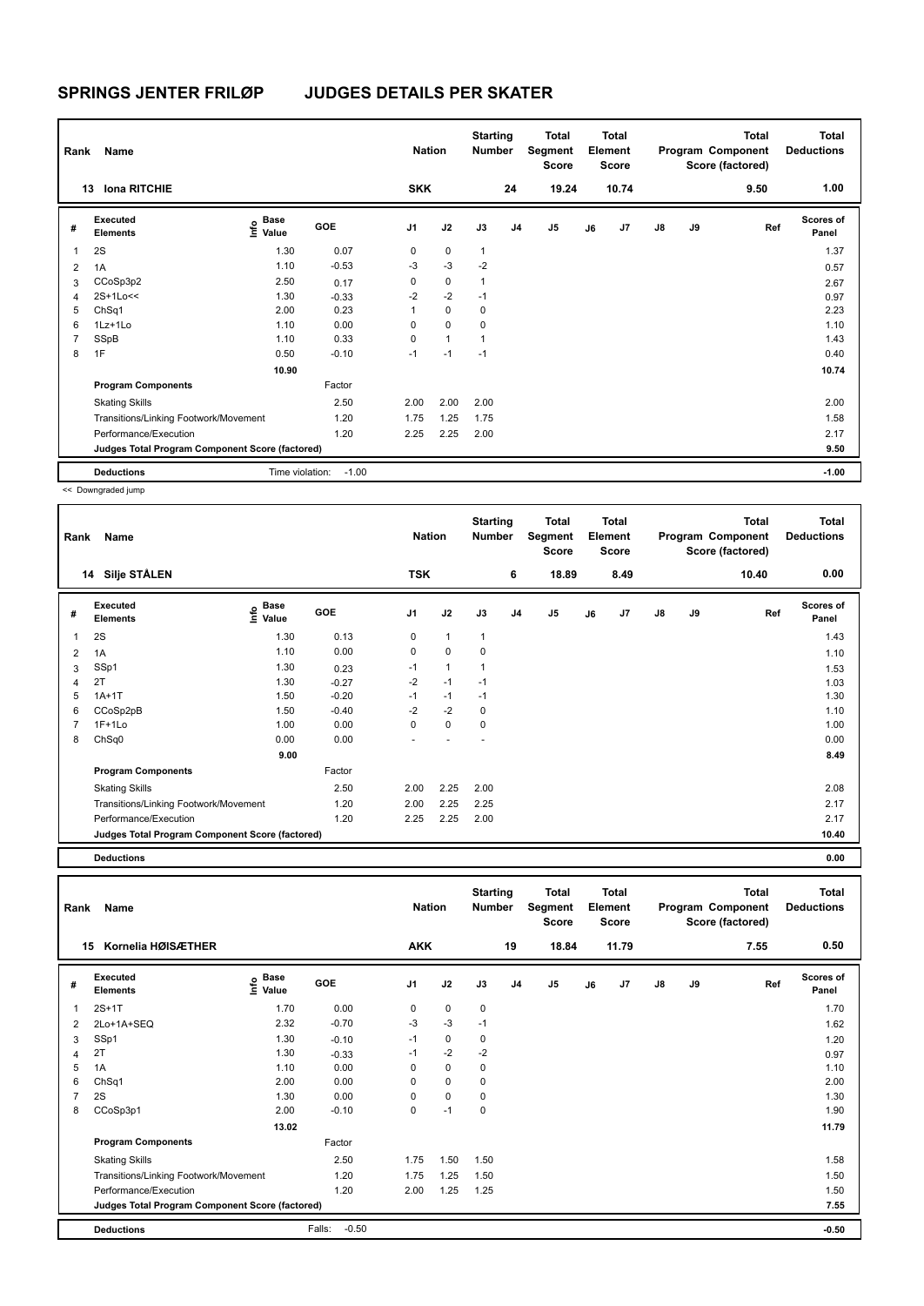| Rank<br>13     | Name<br><b>Iona RITCHIE</b>                     |                                  |            | <b>Nation</b><br><b>SKK</b> |              | <b>Starting</b><br><b>Number</b> | 24             | Total<br>Segment<br><b>Score</b><br>19.24 |    | Total<br>Element<br><b>Score</b><br>10.74 |               |    | <b>Total</b><br>Program Component<br>Score (factored)<br>9.50 | Total<br><b>Deductions</b><br>1.00 |
|----------------|-------------------------------------------------|----------------------------------|------------|-----------------------------|--------------|----------------------------------|----------------|-------------------------------------------|----|-------------------------------------------|---------------|----|---------------------------------------------------------------|------------------------------------|
|                |                                                 |                                  |            |                             |              |                                  |                |                                           |    |                                           |               |    |                                                               |                                    |
| #              | Executed<br><b>Elements</b>                     | <b>Base</b><br>e Base<br>⊆ Value | <b>GOE</b> | J <sub>1</sub>              | J2           | J3                               | J <sub>4</sub> | J <sub>5</sub>                            | J6 | J7                                        | $\mathsf{J}8$ | J9 | Ref                                                           | <b>Scores of</b><br>Panel          |
| 1              | 2S                                              | 1.30                             | 0.07       | 0                           | $\mathbf 0$  | $\mathbf{1}$                     |                |                                           |    |                                           |               |    |                                                               | 1.37                               |
| 2              | 1A                                              | 1.10                             | $-0.53$    | $-3$                        | $-3$         | $-2$                             |                |                                           |    |                                           |               |    |                                                               | 0.57                               |
| 3              | CCoSp3p2                                        | 2.50                             | 0.17       | 0                           | $\mathbf 0$  | 1                                |                |                                           |    |                                           |               |    |                                                               | 2.67                               |
| $\overline{4}$ | 2S+1Lo<<                                        | 1.30                             | $-0.33$    | $-2$                        | $-2$         | $-1$                             |                |                                           |    |                                           |               |    |                                                               | 0.97                               |
| 5              | ChSq1                                           | 2.00                             | 0.23       |                             | $\mathbf 0$  | 0                                |                |                                           |    |                                           |               |    |                                                               | 2.23                               |
| 6              | 1Lz+1Lo                                         | 1.10                             | 0.00       | 0                           | $\mathbf 0$  | 0                                |                |                                           |    |                                           |               |    |                                                               | 1.10                               |
| 7              | SSpB                                            | 1.10                             | 0.33       | $\Omega$                    | $\mathbf{1}$ | 1                                |                |                                           |    |                                           |               |    |                                                               | 1.43                               |
| 8              | 1F                                              | 0.50                             | $-0.10$    | $-1$                        | $-1$         | $-1$                             |                |                                           |    |                                           |               |    |                                                               | 0.40                               |
|                |                                                 | 10.90                            |            |                             |              |                                  |                |                                           |    |                                           |               |    |                                                               | 10.74                              |
|                | <b>Program Components</b>                       |                                  | Factor     |                             |              |                                  |                |                                           |    |                                           |               |    |                                                               |                                    |
|                | <b>Skating Skills</b>                           |                                  | 2.50       | 2.00                        | 2.00         | 2.00                             |                |                                           |    |                                           |               |    |                                                               | 2.00                               |
|                | Transitions/Linking Footwork/Movement           |                                  | 1.20       | 1.75                        | 1.25         | 1.75                             |                |                                           |    |                                           |               |    |                                                               | 1.58                               |
|                | Performance/Execution                           |                                  | 1.20       | 2.25                        | 2.25         | 2.00                             |                |                                           |    |                                           |               |    |                                                               | 2.17                               |
|                | Judges Total Program Component Score (factored) |                                  |            |                             |              |                                  |                |                                           |    |                                           |               |    |                                                               | 9.50                               |
|                | <b>Deductions</b>                               | Time violation:                  | $-1.00$    |                             |              |                                  |                |                                           |    |                                           |               |    |                                                               | $-1.00$                            |

<< Downgraded jump

| Rank | Name                                            |                                                          |         | <b>Nation</b>  |              | <b>Starting</b><br>Number |                | Total<br>Segment<br>Score |    | <b>Total</b><br>Element<br><b>Score</b> |               |    | <b>Total</b><br>Program Component<br>Score (factored) | <b>Total</b><br><b>Deductions</b> |
|------|-------------------------------------------------|----------------------------------------------------------|---------|----------------|--------------|---------------------------|----------------|---------------------------|----|-----------------------------------------|---------------|----|-------------------------------------------------------|-----------------------------------|
|      | 14 Silje STÅLEN                                 |                                                          |         | <b>TSK</b>     |              |                           | 6              | 18.89                     |    | 8.49                                    |               |    | 10.40                                                 | 0.00                              |
| #    | <b>Executed</b><br><b>Elements</b>              | <b>Base</b><br>$\mathop{\mathsf{Int}}\nolimits$<br>Value | GOE     | J <sub>1</sub> | J2           | J3                        | J <sub>4</sub> | J5                        | J6 | J7                                      | $\mathsf{J}8$ | J9 | Ref                                                   | <b>Scores of</b><br>Panel         |
| 1    | 2S                                              | 1.30                                                     | 0.13    | 0              | 1            | 1                         |                |                           |    |                                         |               |    |                                                       | 1.43                              |
| 2    | 1A                                              | 1.10                                                     | 0.00    | 0              | $\mathbf 0$  | 0                         |                |                           |    |                                         |               |    |                                                       | 1.10                              |
| 3    | SSp1                                            | 1.30                                                     | 0.23    | $-1$           | $\mathbf{1}$ |                           |                |                           |    |                                         |               |    |                                                       | 1.53                              |
| 4    | 2T                                              | 1.30                                                     | $-0.27$ | $-2$           | $-1$         | $-1$                      |                |                           |    |                                         |               |    |                                                       | 1.03                              |
| 5    | $1A+1T$                                         | 1.50                                                     | $-0.20$ | $-1$           | $-1$         | $-1$                      |                |                           |    |                                         |               |    |                                                       | 1.30                              |
| 6    | CCoSp2pB                                        | 1.50                                                     | $-0.40$ | $-2$           | $-2$         | 0                         |                |                           |    |                                         |               |    |                                                       | 1.10                              |
| 7    | $1F+1Lo$                                        | 1.00                                                     | 0.00    | 0              | $\mathbf 0$  | 0                         |                |                           |    |                                         |               |    |                                                       | 1.00                              |
| 8    | ChSq0                                           | 0.00                                                     | 0.00    |                |              |                           |                |                           |    |                                         |               |    |                                                       | 0.00                              |
|      |                                                 | 9.00                                                     |         |                |              |                           |                |                           |    |                                         |               |    |                                                       | 8.49                              |
|      | <b>Program Components</b>                       |                                                          | Factor  |                |              |                           |                |                           |    |                                         |               |    |                                                       |                                   |
|      | <b>Skating Skills</b>                           |                                                          | 2.50    | 2.00           | 2.25         | 2.00                      |                |                           |    |                                         |               |    |                                                       | 2.08                              |
|      | Transitions/Linking Footwork/Movement           |                                                          | 1.20    | 2.00           | 2.25         | 2.25                      |                |                           |    |                                         |               |    |                                                       | 2.17                              |
|      | Performance/Execution                           |                                                          | 1.20    | 2.25           | 2.25         | 2.00                      |                |                           |    |                                         |               |    |                                                       | 2.17                              |
|      | Judges Total Program Component Score (factored) |                                                          |         |                |              |                           |                |                           |    |                                         |               |    |                                                       | 10.40                             |

**Deductions 0.00**

| Rank | Name                                            |                                    |                   | <b>Nation</b>  |             | <b>Starting</b><br><b>Number</b> |                | <b>Total</b><br>Segment<br><b>Score</b> |    | <b>Total</b><br>Element<br><b>Score</b> |    |    | <b>Total</b><br>Program Component<br>Score (factored) | Total<br><b>Deductions</b> |
|------|-------------------------------------------------|------------------------------------|-------------------|----------------|-------------|----------------------------------|----------------|-----------------------------------------|----|-----------------------------------------|----|----|-------------------------------------------------------|----------------------------|
|      | Kornelia HØISÆTHER<br>15                        |                                    |                   | <b>AKK</b>     |             |                                  | 19             | 18.84                                   |    | 11.79                                   |    |    | 7.55                                                  | 0.50                       |
| #    | Executed<br><b>Elements</b>                     | <b>Base</b><br>$\frac{6}{5}$ Value | GOE               | J <sub>1</sub> | J2          | J3                               | J <sub>4</sub> | J <sub>5</sub>                          | J6 | J7                                      | J8 | J9 | Ref                                                   | <b>Scores of</b><br>Panel  |
| 1    | $2S+1T$                                         | 1.70                               | 0.00              | 0              | $\mathbf 0$ | $\mathbf 0$                      |                |                                         |    |                                         |    |    |                                                       | 1.70                       |
| 2    | 2Lo+1A+SEQ                                      | 2.32                               | $-0.70$           | $-3$           | $-3$        | $-1$                             |                |                                         |    |                                         |    |    |                                                       | 1.62                       |
| 3    | SSp1                                            | 1.30                               | $-0.10$           | $-1$           | 0           | 0                                |                |                                         |    |                                         |    |    |                                                       | 1.20                       |
| 4    | 2T                                              | 1.30                               | $-0.33$           | $-1$           | $-2$        | $-2$                             |                |                                         |    |                                         |    |    |                                                       | 0.97                       |
| 5    | 1A                                              | 1.10                               | 0.00              | 0              | $\mathbf 0$ | 0                                |                |                                         |    |                                         |    |    |                                                       | 1.10                       |
| 6    | ChSq1                                           | 2.00                               | 0.00              | 0              | 0           | 0                                |                |                                         |    |                                         |    |    |                                                       | 2.00                       |
|      | 2S                                              | 1.30                               | 0.00              | 0              | 0           | 0                                |                |                                         |    |                                         |    |    |                                                       | 1.30                       |
| 8    | CCoSp3p1                                        | 2.00                               | $-0.10$           | 0              | $-1$        | $\mathbf 0$                      |                |                                         |    |                                         |    |    |                                                       | 1.90                       |
|      |                                                 | 13.02                              |                   |                |             |                                  |                |                                         |    |                                         |    |    |                                                       | 11.79                      |
|      | <b>Program Components</b>                       |                                    | Factor            |                |             |                                  |                |                                         |    |                                         |    |    |                                                       |                            |
|      | <b>Skating Skills</b>                           |                                    | 2.50              | 1.75           | 1.50        | 1.50                             |                |                                         |    |                                         |    |    |                                                       | 1.58                       |
|      | Transitions/Linking Footwork/Movement           |                                    | 1.20              | 1.75           | 1.25        | 1.50                             |                |                                         |    |                                         |    |    |                                                       | 1.50                       |
|      | Performance/Execution                           |                                    | 1.20              | 2.00           | 1.25        | 1.25                             |                |                                         |    |                                         |    |    |                                                       | 1.50                       |
|      | Judges Total Program Component Score (factored) |                                    |                   |                |             |                                  |                |                                         |    |                                         |    |    |                                                       | 7.55                       |
|      | <b>Deductions</b>                               |                                    | $-0.50$<br>Falls: |                |             |                                  |                |                                         |    |                                         |    |    |                                                       | $-0.50$                    |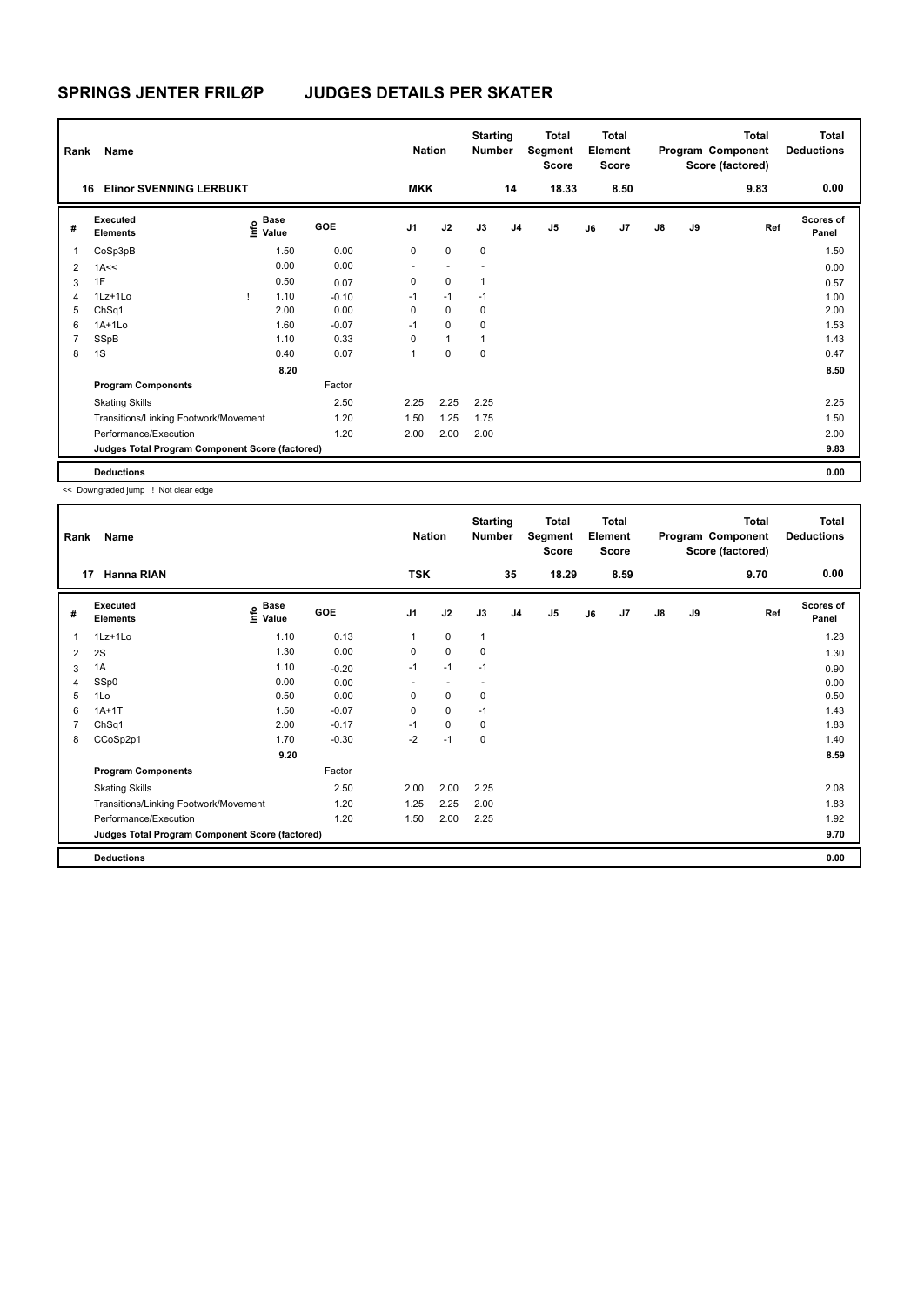| Rank           | Name                                            |                           |            | <b>Nation</b>  |              | <b>Starting</b><br><b>Number</b> |                | Total<br>Segment<br><b>Score</b> |    | <b>Total</b><br>Element<br><b>Score</b> |               |    | <b>Total</b><br>Program Component<br>Score (factored) | Total<br><b>Deductions</b> |
|----------------|-------------------------------------------------|---------------------------|------------|----------------|--------------|----------------------------------|----------------|----------------------------------|----|-----------------------------------------|---------------|----|-------------------------------------------------------|----------------------------|
|                | <b>Elinor SVENNING LERBUKT</b><br>16            |                           |            | <b>MKK</b>     |              |                                  | 14             | 18.33                            |    | 8.50                                    |               |    | 9.83                                                  | 0.00                       |
| #              | Executed<br><b>Elements</b>                     | Base<br>e Base<br>⊆ Value | <b>GOE</b> | J <sub>1</sub> | J2           | J3                               | J <sub>4</sub> | J <sub>5</sub>                   | J6 | J7                                      | $\mathsf{J}8$ | J9 | Ref                                                   | Scores of<br>Panel         |
| 1              | CoSp3pB                                         | 1.50                      | 0.00       | 0              | $\mathbf 0$  | $\mathbf 0$                      |                |                                  |    |                                         |               |    |                                                       | 1.50                       |
| 2              | 1A<<                                            | 0.00                      | 0.00       |                |              |                                  |                |                                  |    |                                         |               |    |                                                       | 0.00                       |
| 3              | 1F                                              | 0.50                      | 0.07       | 0              | 0            | 1                                |                |                                  |    |                                         |               |    |                                                       | 0.57                       |
| $\overline{4}$ | 1Lz+1Lo                                         | 1.10                      | $-0.10$    | $-1$           | $-1$         | $-1$                             |                |                                  |    |                                         |               |    |                                                       | 1.00                       |
| 5              | ChSq1                                           | 2.00                      | 0.00       | 0              | $\mathbf 0$  | 0                                |                |                                  |    |                                         |               |    |                                                       | 2.00                       |
| 6              | $1A+1L0$                                        | 1.60                      | $-0.07$    | $-1$           | 0            | 0                                |                |                                  |    |                                         |               |    |                                                       | 1.53                       |
| $\overline{7}$ | SSpB                                            | 1.10                      | 0.33       | 0              | $\mathbf{1}$ | 1                                |                |                                  |    |                                         |               |    |                                                       | 1.43                       |
| 8              | 1S                                              | 0.40                      | 0.07       | 1              | 0            | 0                                |                |                                  |    |                                         |               |    |                                                       | 0.47                       |
|                |                                                 | 8.20                      |            |                |              |                                  |                |                                  |    |                                         |               |    |                                                       | 8.50                       |
|                | <b>Program Components</b>                       |                           | Factor     |                |              |                                  |                |                                  |    |                                         |               |    |                                                       |                            |
|                | <b>Skating Skills</b>                           |                           | 2.50       | 2.25           | 2.25         | 2.25                             |                |                                  |    |                                         |               |    |                                                       | 2.25                       |
|                | Transitions/Linking Footwork/Movement           |                           | 1.20       | 1.50           | 1.25         | 1.75                             |                |                                  |    |                                         |               |    |                                                       | 1.50                       |
|                | Performance/Execution                           |                           | 1.20       | 2.00           | 2.00         | 2.00                             |                |                                  |    |                                         |               |    |                                                       | 2.00                       |
|                | Judges Total Program Component Score (factored) |                           |            |                |              |                                  |                |                                  |    |                                         |               |    |                                                       | 9.83                       |
|                | <b>Deductions</b>                               |                           |            |                |              |                                  |                |                                  |    |                                         |               |    |                                                       | 0.00                       |

<< Downgraded jump ! Not clear edge

| Rank | Name                                            |                              |            | <b>Nation</b>  |             | <b>Starting</b><br><b>Number</b> |                | Total<br>Segment<br><b>Score</b> |    | <b>Total</b><br>Element<br><b>Score</b> |               |    | <b>Total</b><br>Program Component<br>Score (factored) | Total<br><b>Deductions</b> |
|------|-------------------------------------------------|------------------------------|------------|----------------|-------------|----------------------------------|----------------|----------------------------------|----|-----------------------------------------|---------------|----|-------------------------------------------------------|----------------------------|
|      | <b>Hanna RIAN</b><br>17                         |                              |            | <b>TSK</b>     |             |                                  | 35             | 18.29                            |    | 8.59                                    |               |    | 9.70                                                  | 0.00                       |
| #    | Executed<br><b>Elements</b>                     | <b>Base</b><br>Info<br>Value | <b>GOE</b> | J <sub>1</sub> | J2          | J3                               | J <sub>4</sub> | J <sub>5</sub>                   | J6 | J7                                      | $\mathsf{J}8$ | J9 | Ref                                                   | <b>Scores of</b><br>Panel  |
| 1    | $1Lz+1Lo$                                       | 1.10                         | 0.13       | 1              | 0           | $\mathbf{1}$                     |                |                                  |    |                                         |               |    |                                                       | 1.23                       |
| 2    | 2S                                              | 1.30                         | 0.00       | 0              | $\mathbf 0$ | $\mathbf 0$                      |                |                                  |    |                                         |               |    |                                                       | 1.30                       |
| 3    | 1A                                              | 1.10                         | $-0.20$    | $-1$           | $-1$        | $-1$                             |                |                                  |    |                                         |               |    |                                                       | 0.90                       |
| 4    | SSp0                                            | 0.00                         | 0.00       |                |             |                                  |                |                                  |    |                                         |               |    |                                                       | 0.00                       |
| 5    | 1Lo                                             | 0.50                         | 0.00       | 0              | 0           | 0                                |                |                                  |    |                                         |               |    |                                                       | 0.50                       |
| 6    | $1A+1T$                                         | 1.50                         | $-0.07$    | 0              | $\mathbf 0$ | $-1$                             |                |                                  |    |                                         |               |    |                                                       | 1.43                       |
| 7    | ChSq1                                           | 2.00                         | $-0.17$    | $-1$           | $\mathbf 0$ | $\mathbf 0$                      |                |                                  |    |                                         |               |    |                                                       | 1.83                       |
| 8    | CCoSp2p1                                        | 1.70                         | $-0.30$    | $-2$           | $-1$        | $\mathbf 0$                      |                |                                  |    |                                         |               |    |                                                       | 1.40                       |
|      |                                                 | 9.20                         |            |                |             |                                  |                |                                  |    |                                         |               |    |                                                       | 8.59                       |
|      | <b>Program Components</b>                       |                              | Factor     |                |             |                                  |                |                                  |    |                                         |               |    |                                                       |                            |
|      | <b>Skating Skills</b>                           |                              | 2.50       | 2.00           | 2.00        | 2.25                             |                |                                  |    |                                         |               |    |                                                       | 2.08                       |
|      | Transitions/Linking Footwork/Movement           |                              | 1.20       | 1.25           | 2.25        | 2.00                             |                |                                  |    |                                         |               |    |                                                       | 1.83                       |
|      | Performance/Execution                           |                              | 1.20       | 1.50           | 2.00        | 2.25                             |                |                                  |    |                                         |               |    |                                                       | 1.92                       |
|      | Judges Total Program Component Score (factored) |                              |            |                |             |                                  |                |                                  |    |                                         |               |    |                                                       | 9.70                       |
|      | <b>Deductions</b>                               |                              |            |                |             |                                  |                |                                  |    |                                         |               |    |                                                       | 0.00                       |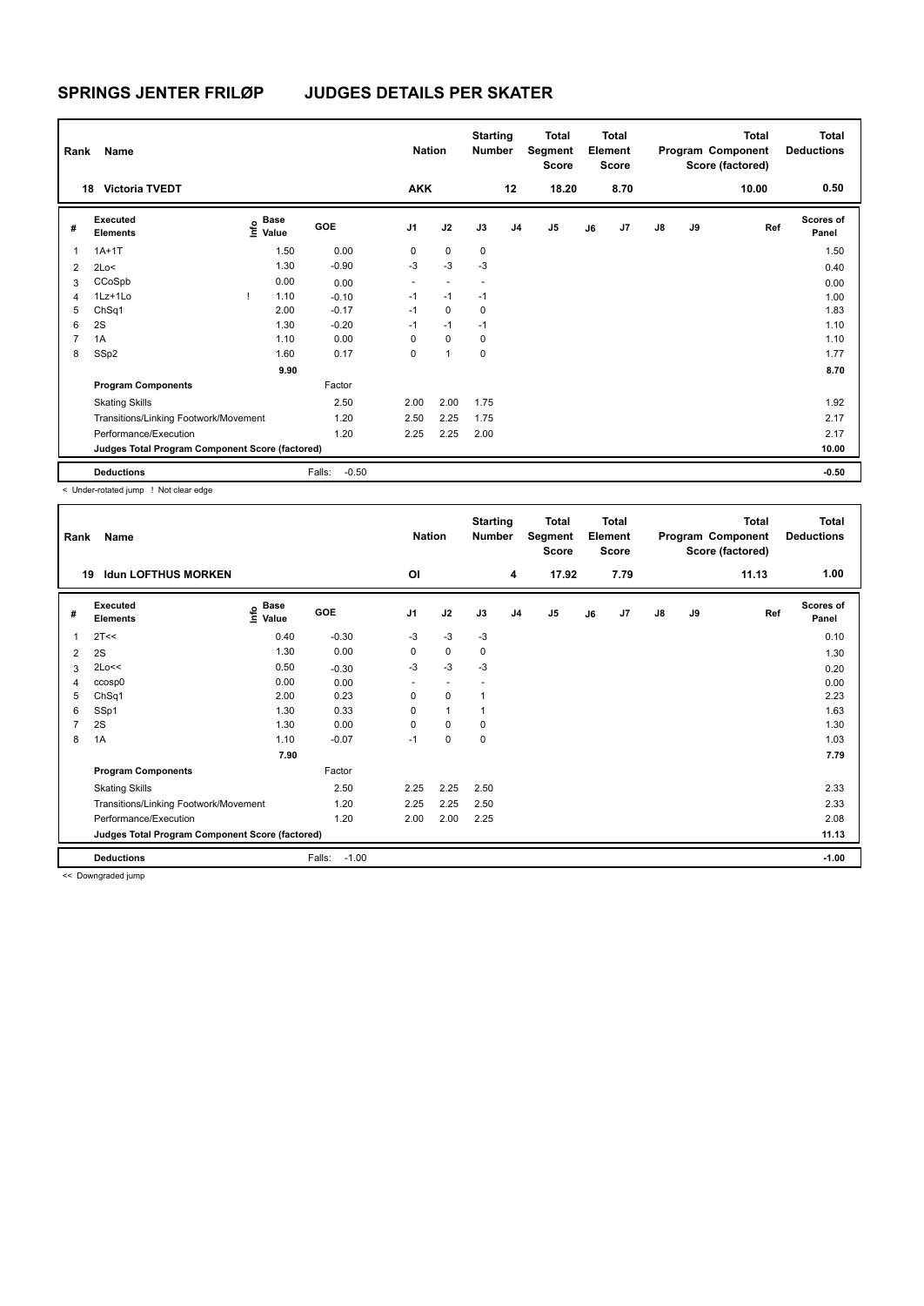| Rank           | Name                                            |                                  |                   | <b>Nation</b>  |                          | <b>Starting</b><br><b>Number</b> |                | Total<br>Segment<br>Score |    | <b>Total</b><br>Element<br>Score |               |    | <b>Total</b><br>Program Component<br>Score (factored) | Total<br><b>Deductions</b> |
|----------------|-------------------------------------------------|----------------------------------|-------------------|----------------|--------------------------|----------------------------------|----------------|---------------------------|----|----------------------------------|---------------|----|-------------------------------------------------------|----------------------------|
|                | <b>Victoria TVEDT</b><br>18                     |                                  |                   | <b>AKK</b>     |                          |                                  | 12             | 18.20                     |    | 8.70                             |               |    | 10.00                                                 | 0.50                       |
| #              | Executed<br><b>Elements</b>                     | <b>Base</b><br>o Base<br>⊆ Value | GOE               | J <sub>1</sub> | J2                       | J3                               | J <sub>4</sub> | J <sub>5</sub>            | J6 | J7                               | $\mathsf{J}8$ | J9 | Ref                                                   | <b>Scores of</b><br>Panel  |
| $\mathbf{1}$   | $1A+1T$                                         | 1.50                             | 0.00              | 0              | $\mathbf 0$              | 0                                |                |                           |    |                                  |               |    |                                                       | 1.50                       |
| $\overline{2}$ | 2Lo<                                            | 1.30                             | $-0.90$           | -3             | $-3$                     | $-3$                             |                |                           |    |                                  |               |    |                                                       | 0.40                       |
| 3              | CCoSpb                                          | 0.00                             | 0.00              | ٠              | $\overline{\phantom{a}}$ | $\overline{\phantom{a}}$         |                |                           |    |                                  |               |    |                                                       | 0.00                       |
| $\overline{4}$ | 1Lz+1Lo                                         | 1.10                             | $-0.10$           | $-1$           | $-1$                     | $-1$                             |                |                           |    |                                  |               |    |                                                       | 1.00                       |
| 5              | ChSq1                                           | 2.00                             | $-0.17$           | $-1$           | $\mathbf 0$              | 0                                |                |                           |    |                                  |               |    |                                                       | 1.83                       |
| 6              | 2S                                              | 1.30                             | $-0.20$           | $-1$           | $-1$                     | $-1$                             |                |                           |    |                                  |               |    |                                                       | 1.10                       |
| $\overline{7}$ | 1A                                              | 1.10                             | 0.00              | 0              | $\mathbf 0$              | 0                                |                |                           |    |                                  |               |    |                                                       | 1.10                       |
| 8              | SSp2                                            | 1.60                             | 0.17              | 0              | $\overline{1}$           | 0                                |                |                           |    |                                  |               |    |                                                       | 1.77                       |
|                |                                                 | 9.90                             |                   |                |                          |                                  |                |                           |    |                                  |               |    |                                                       | 8.70                       |
|                | <b>Program Components</b>                       |                                  | Factor            |                |                          |                                  |                |                           |    |                                  |               |    |                                                       |                            |
|                | <b>Skating Skills</b>                           |                                  | 2.50              | 2.00           | 2.00                     | 1.75                             |                |                           |    |                                  |               |    |                                                       | 1.92                       |
|                | Transitions/Linking Footwork/Movement           |                                  | 1.20              | 2.50           | 2.25                     | 1.75                             |                |                           |    |                                  |               |    |                                                       | 2.17                       |
|                | Performance/Execution                           |                                  | 1.20              | 2.25           | 2.25                     | 2.00                             |                |                           |    |                                  |               |    |                                                       | 2.17                       |
|                | Judges Total Program Component Score (factored) |                                  |                   |                |                          |                                  |                |                           |    |                                  |               |    |                                                       | 10.00                      |
|                | <b>Deductions</b>                               |                                  | Falls:<br>$-0.50$ |                |                          |                                  |                |                           |    |                                  |               |    |                                                       | $-0.50$                    |

< Under-rotated jump ! Not clear edge

| Rank | Name                                            |                                             |                   | <b>Nation</b>  |              | <b>Starting</b><br><b>Number</b> |                | <b>Total</b><br>Segment<br><b>Score</b> |    | <b>Total</b><br>Element<br><b>Score</b> |               |    | Total<br>Program Component<br>Score (factored) | <b>Total</b><br><b>Deductions</b> |
|------|-------------------------------------------------|---------------------------------------------|-------------------|----------------|--------------|----------------------------------|----------------|-----------------------------------------|----|-----------------------------------------|---------------|----|------------------------------------------------|-----------------------------------|
|      | <b>Idun LOFTHUS MORKEN</b><br>19                |                                             |                   | OI             |              |                                  | 4              | 17.92                                   |    | 7.79                                    |               |    | 11.13                                          | 1.00                              |
| #    | Executed<br><b>Elements</b>                     | <b>Base</b><br>e <sup>Base</sup><br>⊆ Value | <b>GOE</b>        | J <sub>1</sub> | J2           | J3                               | J <sub>4</sub> | J5                                      | J6 | J <sub>7</sub>                          | $\mathsf{J}8$ | J9 | Ref                                            | <b>Scores of</b><br>Panel         |
|      | 2T<<                                            | 0.40                                        | $-0.30$           | $-3$           | $-3$         | $-3$                             |                |                                         |    |                                         |               |    |                                                | 0.10                              |
| 2    | 2S                                              | 1.30                                        | 0.00              | 0              | $\mathbf 0$  | 0                                |                |                                         |    |                                         |               |    |                                                | 1.30                              |
| 3    | 2Lo<<                                           | 0.50                                        | $-0.30$           | -3             | $-3$         | -3                               |                |                                         |    |                                         |               |    |                                                | 0.20                              |
| 4    | ccosp0                                          | 0.00                                        | 0.00              | $\sim$         | $\sim$       |                                  |                |                                         |    |                                         |               |    |                                                | 0.00                              |
| 5    | ChSq1                                           | 2.00                                        | 0.23              | 0              | $\mathbf 0$  | $\mathbf{1}$                     |                |                                         |    |                                         |               |    |                                                | 2.23                              |
| 6    | SSp1                                            | 1.30                                        | 0.33              | 0              | $\mathbf{1}$ | $\overline{1}$                   |                |                                         |    |                                         |               |    |                                                | 1.63                              |
|      | 2S                                              | 1.30                                        | 0.00              | 0              | $\mathbf 0$  | 0                                |                |                                         |    |                                         |               |    |                                                | 1.30                              |
| 8    | 1A                                              | 1.10                                        | $-0.07$           | $-1$           | $\pmb{0}$    | 0                                |                |                                         |    |                                         |               |    |                                                | 1.03                              |
|      |                                                 | 7.90                                        |                   |                |              |                                  |                |                                         |    |                                         |               |    |                                                | 7.79                              |
|      | <b>Program Components</b>                       |                                             | Factor            |                |              |                                  |                |                                         |    |                                         |               |    |                                                |                                   |
|      | <b>Skating Skills</b>                           |                                             | 2.50              | 2.25           | 2.25         | 2.50                             |                |                                         |    |                                         |               |    |                                                | 2.33                              |
|      | Transitions/Linking Footwork/Movement           |                                             | 1.20              | 2.25           | 2.25         | 2.50                             |                |                                         |    |                                         |               |    |                                                | 2.33                              |
|      | Performance/Execution                           |                                             | 1.20              | 2.00           | 2.00         | 2.25                             |                |                                         |    |                                         |               |    |                                                | 2.08                              |
|      | Judges Total Program Component Score (factored) |                                             |                   |                |              |                                  |                |                                         |    |                                         |               |    |                                                | 11.13                             |
|      | <b>Deductions</b>                               |                                             | $-1.00$<br>Falls: |                |              |                                  |                |                                         |    |                                         |               |    |                                                | $-1.00$                           |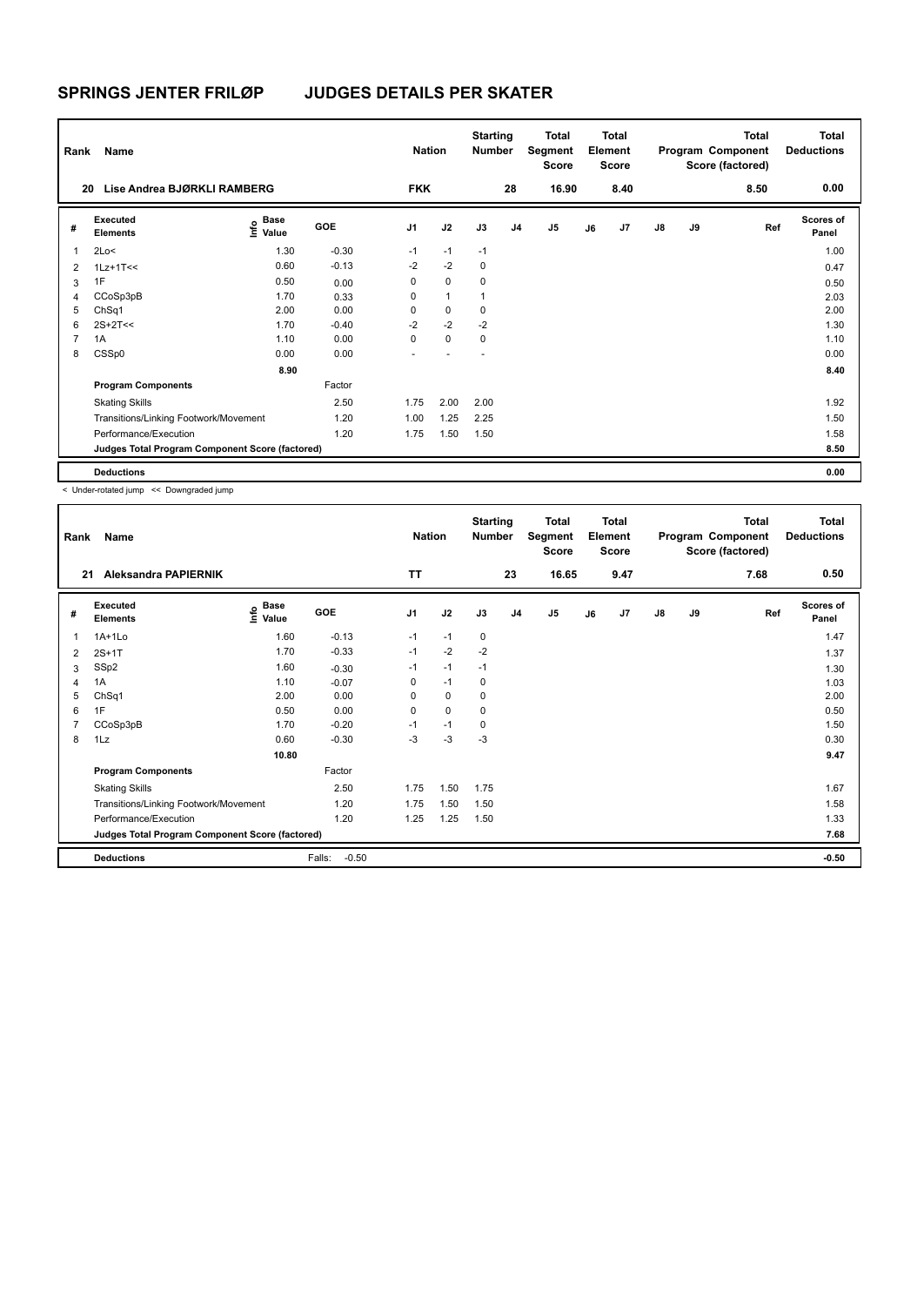| Rank           | Name                                            |                                  |         | <b>Nation</b>  |                | <b>Starting</b><br><b>Number</b> |                | Total<br>Segment<br><b>Score</b> |    | <b>Total</b><br>Element<br><b>Score</b> |               |    | <b>Total</b><br>Program Component<br>Score (factored) | <b>Total</b><br><b>Deductions</b> |
|----------------|-------------------------------------------------|----------------------------------|---------|----------------|----------------|----------------------------------|----------------|----------------------------------|----|-----------------------------------------|---------------|----|-------------------------------------------------------|-----------------------------------|
| 20             | Lise Andrea BJØRKLI RAMBERG                     |                                  |         | <b>FKK</b>     |                |                                  | 28             | 16.90                            |    | 8.40                                    |               |    | 8.50                                                  | 0.00                              |
| #              | Executed<br><b>Elements</b>                     | <b>Base</b><br>e Base<br>⊆ Value | GOE     | J <sub>1</sub> | J2             | J3                               | J <sub>4</sub> | J <sub>5</sub>                   | J6 | J7                                      | $\mathsf{J}8$ | J9 | Ref                                                   | Scores of<br>Panel                |
| $\overline{1}$ | 2Lo<                                            | 1.30                             | $-0.30$ | $-1$           | $-1$           | $-1$                             |                |                                  |    |                                         |               |    |                                                       | 1.00                              |
| $\overline{2}$ | $1Lz+1T<<$                                      | 0.60                             | $-0.13$ | $-2$           | $-2$           | 0                                |                |                                  |    |                                         |               |    |                                                       | 0.47                              |
| 3              | 1F                                              | 0.50                             | 0.00    | 0              | $\mathbf 0$    | 0                                |                |                                  |    |                                         |               |    |                                                       | 0.50                              |
| 4              | CCoSp3pB                                        | 1.70                             | 0.33    | 0              | $\overline{1}$ |                                  |                |                                  |    |                                         |               |    |                                                       | 2.03                              |
| 5              | ChSq1                                           | 2.00                             | 0.00    | 0              | $\mathbf 0$    | 0                                |                |                                  |    |                                         |               |    |                                                       | 2.00                              |
| 6              | $2S+2T<<$                                       | 1.70                             | $-0.40$ | $-2$           | $-2$           | $-2$                             |                |                                  |    |                                         |               |    |                                                       | 1.30                              |
| 7              | 1A                                              | 1.10                             | 0.00    | $\Omega$       | $\mathbf 0$    | 0                                |                |                                  |    |                                         |               |    |                                                       | 1.10                              |
| 8              | CSSp0                                           | 0.00                             | 0.00    | ä,             |                | $\overline{\phantom{a}}$         |                |                                  |    |                                         |               |    |                                                       | 0.00                              |
|                |                                                 | 8.90                             |         |                |                |                                  |                |                                  |    |                                         |               |    |                                                       | 8.40                              |
|                | <b>Program Components</b>                       |                                  | Factor  |                |                |                                  |                |                                  |    |                                         |               |    |                                                       |                                   |
|                | <b>Skating Skills</b>                           |                                  | 2.50    | 1.75           | 2.00           | 2.00                             |                |                                  |    |                                         |               |    |                                                       | 1.92                              |
|                | Transitions/Linking Footwork/Movement           |                                  | 1.20    | 1.00           | 1.25           | 2.25                             |                |                                  |    |                                         |               |    |                                                       | 1.50                              |
|                | Performance/Execution                           |                                  | 1.20    | 1.75           | 1.50           | 1.50                             |                |                                  |    |                                         |               |    |                                                       | 1.58                              |
|                | Judges Total Program Component Score (factored) |                                  |         |                |                |                                  |                |                                  |    |                                         |               |    |                                                       | 8.50                              |
|                | <b>Deductions</b>                               |                                  |         |                |                |                                  |                |                                  |    |                                         |               |    |                                                       | 0.00                              |

< Under-rotated jump << Downgraded jump

| Rank | Name                                            |                              |                   | <b>Nation</b>  |      | <b>Starting</b><br>Number |                | <b>Total</b><br>Segment<br><b>Score</b> |    | <b>Total</b><br>Element<br><b>Score</b> |    |    | <b>Total</b><br>Program Component<br>Score (factored) | <b>Total</b><br><b>Deductions</b> |
|------|-------------------------------------------------|------------------------------|-------------------|----------------|------|---------------------------|----------------|-----------------------------------------|----|-----------------------------------------|----|----|-------------------------------------------------------|-----------------------------------|
| 21   | <b>Aleksandra PAPIERNIK</b>                     |                              |                   | <b>TT</b>      |      |                           | 23             | 16.65                                   |    | 9.47                                    |    |    | 7.68                                                  | 0.50                              |
| #    | <b>Executed</b><br><b>Elements</b>              | <b>Base</b><br>Info<br>Value | <b>GOE</b>        | J <sub>1</sub> | J2   | J3                        | J <sub>4</sub> | J <sub>5</sub>                          | J6 | J7                                      | J8 | J9 | Ref                                                   | <b>Scores of</b><br>Panel         |
| 1    | $1A+1L0$                                        | 1.60                         | $-0.13$           | $-1$           | $-1$ | 0                         |                |                                         |    |                                         |    |    |                                                       | 1.47                              |
| 2    | $2S+1T$                                         | 1.70                         | $-0.33$           | $-1$           | $-2$ | $-2$                      |                |                                         |    |                                         |    |    |                                                       | 1.37                              |
| 3    | SSp2                                            | 1.60                         | $-0.30$           | $-1$           | $-1$ | $-1$                      |                |                                         |    |                                         |    |    |                                                       | 1.30                              |
| 4    | 1A                                              | 1.10                         | $-0.07$           | 0              | $-1$ | 0                         |                |                                         |    |                                         |    |    |                                                       | 1.03                              |
| 5    | ChSq1                                           | 2.00                         | 0.00              | 0              | 0    | 0                         |                |                                         |    |                                         |    |    |                                                       | 2.00                              |
| 6    | 1F                                              | 0.50                         | 0.00              | 0              | 0    | 0                         |                |                                         |    |                                         |    |    |                                                       | 0.50                              |
| 7    | CCoSp3pB                                        | 1.70                         | $-0.20$           | $-1$           | $-1$ | 0                         |                |                                         |    |                                         |    |    |                                                       | 1.50                              |
| 8    | 1Lz                                             | 0.60                         | $-0.30$           | $-3$           | $-3$ | $-3$                      |                |                                         |    |                                         |    |    |                                                       | 0.30                              |
|      |                                                 | 10.80                        |                   |                |      |                           |                |                                         |    |                                         |    |    |                                                       | 9.47                              |
|      | <b>Program Components</b>                       |                              | Factor            |                |      |                           |                |                                         |    |                                         |    |    |                                                       |                                   |
|      | <b>Skating Skills</b>                           |                              | 2.50              | 1.75           | 1.50 | 1.75                      |                |                                         |    |                                         |    |    |                                                       | 1.67                              |
|      | Transitions/Linking Footwork/Movement           |                              | 1.20              | 1.75           | 1.50 | 1.50                      |                |                                         |    |                                         |    |    |                                                       | 1.58                              |
|      | Performance/Execution                           |                              | 1.20              | 1.25           | 1.25 | 1.50                      |                |                                         |    |                                         |    |    |                                                       | 1.33                              |
|      | Judges Total Program Component Score (factored) |                              |                   |                |      |                           |                |                                         |    |                                         |    |    |                                                       | 7.68                              |
|      | <b>Deductions</b>                               |                              | $-0.50$<br>Falls: |                |      |                           |                |                                         |    |                                         |    |    |                                                       | $-0.50$                           |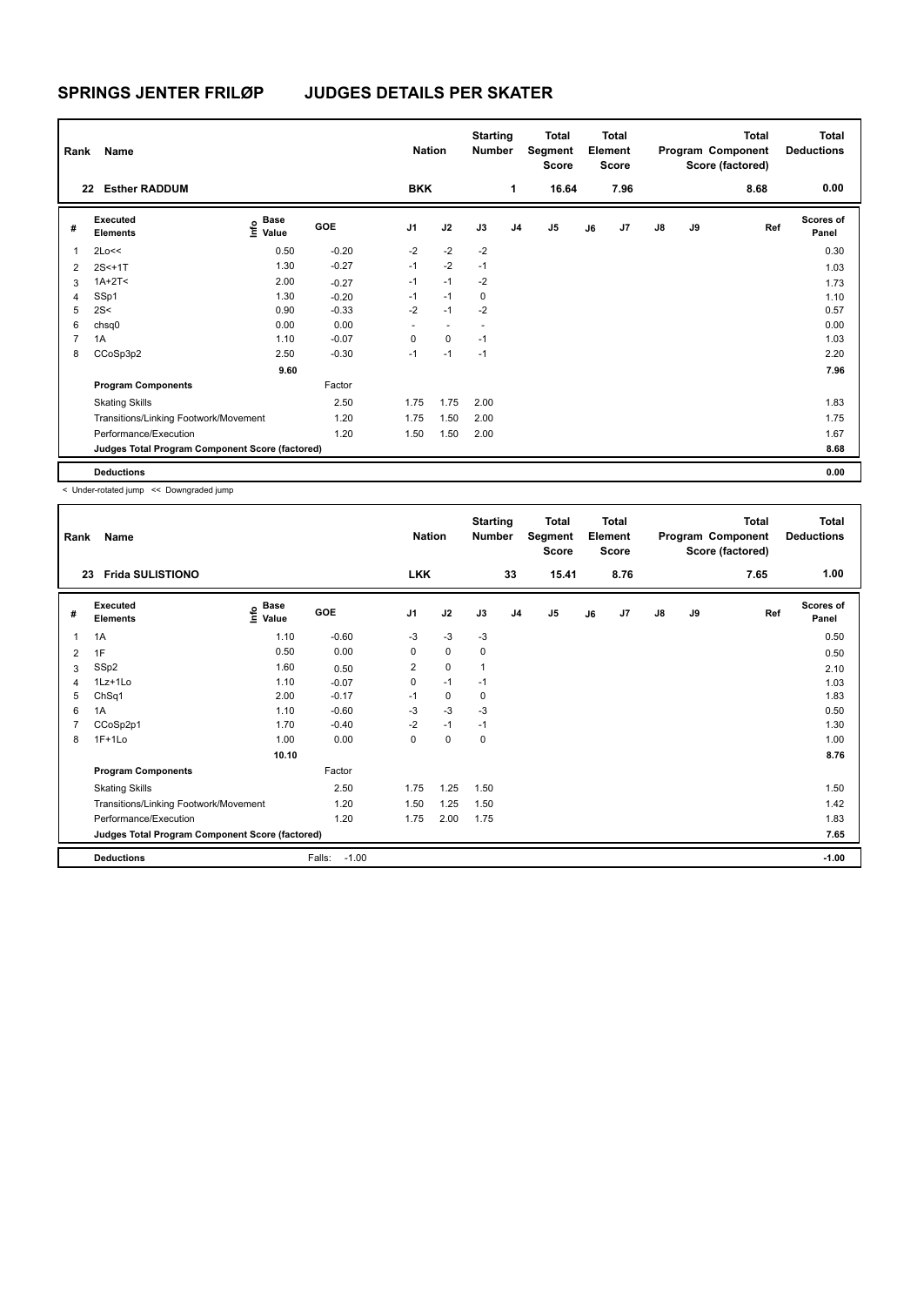| Rank           | Name                                            |                        |         | <b>Nation</b>  |                          | <b>Starting</b><br><b>Number</b> |                | Total<br>Segment<br><b>Score</b> |    | <b>Total</b><br>Element<br><b>Score</b> |               |    | <b>Total</b><br>Program Component<br>Score (factored) | Total<br><b>Deductions</b> |
|----------------|-------------------------------------------------|------------------------|---------|----------------|--------------------------|----------------------------------|----------------|----------------------------------|----|-----------------------------------------|---------------|----|-------------------------------------------------------|----------------------------|
| 22             | <b>Esther RADDUM</b>                            |                        |         | <b>BKK</b>     |                          |                                  | 1              | 16.64                            |    | 7.96                                    |               |    | 8.68                                                  | 0.00                       |
| #              | Executed<br><b>Elements</b>                     | $\sum_{i=1}^{n}$ Value | GOE     | J <sub>1</sub> | J2                       | J3                               | J <sub>4</sub> | J <sub>5</sub>                   | J6 | J7                                      | $\mathsf{J}8$ | J9 | Ref                                                   | <b>Scores of</b><br>Panel  |
| 1              | 2Lo<<                                           | 0.50                   | $-0.20$ | $-2$           | $-2$                     | $-2$                             |                |                                  |    |                                         |               |    |                                                       | 0.30                       |
| $\overline{2}$ | $2S<+1T$                                        | 1.30                   | $-0.27$ | $-1$           | $-2$                     | $-1$                             |                |                                  |    |                                         |               |    |                                                       | 1.03                       |
| 3              | $1A+2T2$                                        | 2.00                   | $-0.27$ | $-1$           | $-1$                     | $-2$                             |                |                                  |    |                                         |               |    |                                                       | 1.73                       |
| 4              | SSp1                                            | 1.30                   | $-0.20$ | $-1$           | $-1$                     | 0                                |                |                                  |    |                                         |               |    |                                                       | 1.10                       |
| 5              | 2S<                                             | 0.90                   | $-0.33$ | $-2$           | $-1$                     | $-2$                             |                |                                  |    |                                         |               |    |                                                       | 0.57                       |
| 6              | chsq0                                           | 0.00                   | 0.00    | ٠              | $\overline{\phantom{a}}$ | ٠                                |                |                                  |    |                                         |               |    |                                                       | 0.00                       |
| 7              | 1A                                              | 1.10                   | $-0.07$ | 0              | 0                        | $-1$                             |                |                                  |    |                                         |               |    |                                                       | 1.03                       |
| 8              | CCoSp3p2                                        | 2.50                   | $-0.30$ | $-1$           | $-1$                     | $-1$                             |                |                                  |    |                                         |               |    |                                                       | 2.20                       |
|                |                                                 | 9.60                   |         |                |                          |                                  |                |                                  |    |                                         |               |    |                                                       | 7.96                       |
|                | <b>Program Components</b>                       |                        | Factor  |                |                          |                                  |                |                                  |    |                                         |               |    |                                                       |                            |
|                | <b>Skating Skills</b>                           |                        | 2.50    | 1.75           | 1.75                     | 2.00                             |                |                                  |    |                                         |               |    |                                                       | 1.83                       |
|                | Transitions/Linking Footwork/Movement           |                        | 1.20    | 1.75           | 1.50                     | 2.00                             |                |                                  |    |                                         |               |    |                                                       | 1.75                       |
|                | Performance/Execution                           |                        | 1.20    | 1.50           | 1.50                     | 2.00                             |                |                                  |    |                                         |               |    |                                                       | 1.67                       |
|                | Judges Total Program Component Score (factored) |                        |         |                |                          |                                  |                |                                  |    |                                         |               |    |                                                       | 8.68                       |
|                | <b>Deductions</b>                               |                        |         |                |                          |                                  |                |                                  |    |                                         |               |    |                                                       | 0.00                       |

< Under-rotated jump << Downgraded jump

| Rank | Name                                            |                       |                   | <b>Nation</b>  |      | <b>Starting</b><br><b>Number</b> |                | <b>Total</b><br>Segment<br>Score |    | <b>Total</b><br>Element<br><b>Score</b> |    |    | Total<br>Program Component<br>Score (factored) | <b>Total</b><br><b>Deductions</b> |
|------|-------------------------------------------------|-----------------------|-------------------|----------------|------|----------------------------------|----------------|----------------------------------|----|-----------------------------------------|----|----|------------------------------------------------|-----------------------------------|
| 23   | <b>Frida SULISTIONO</b>                         |                       |                   | <b>LKK</b>     |      |                                  | 33             | 15.41                            |    | 8.76                                    |    |    | 7.65                                           | 1.00                              |
| #    | <b>Executed</b><br><b>Elements</b>              | Base<br>Info<br>Value | <b>GOE</b>        | J <sub>1</sub> | J2   | J3                               | J <sub>4</sub> | J <sub>5</sub>                   | J6 | J7                                      | J8 | J9 | Ref                                            | <b>Scores of</b><br>Panel         |
| 1    | 1A                                              | 1.10                  | $-0.60$           | $-3$           | $-3$ | $-3$                             |                |                                  |    |                                         |    |    |                                                | 0.50                              |
| 2    | 1F                                              | 0.50                  | 0.00              | 0              | 0    | 0                                |                |                                  |    |                                         |    |    |                                                | 0.50                              |
| 3    | SSp2                                            | 1.60                  | 0.50              | $\overline{2}$ | 0    | 1                                |                |                                  |    |                                         |    |    |                                                | 2.10                              |
| 4    | $1Lz+1L0$                                       | 1.10                  | $-0.07$           | 0              | $-1$ | $-1$                             |                |                                  |    |                                         |    |    |                                                | 1.03                              |
| 5    | ChSq1                                           | 2.00                  | $-0.17$           | $-1$           | 0    | 0                                |                |                                  |    |                                         |    |    |                                                | 1.83                              |
| 6    | 1A                                              | 1.10                  | $-0.60$           | $-3$           | $-3$ | $-3$                             |                |                                  |    |                                         |    |    |                                                | 0.50                              |
| 7    | CCoSp2p1                                        | 1.70                  | $-0.40$           | $-2$           | $-1$ | $-1$                             |                |                                  |    |                                         |    |    |                                                | 1.30                              |
| 8    | $1F+1Lo$                                        | 1.00                  | 0.00              | 0              | 0    | 0                                |                |                                  |    |                                         |    |    |                                                | 1.00                              |
|      |                                                 | 10.10                 |                   |                |      |                                  |                |                                  |    |                                         |    |    |                                                | 8.76                              |
|      | <b>Program Components</b>                       |                       | Factor            |                |      |                                  |                |                                  |    |                                         |    |    |                                                |                                   |
|      | <b>Skating Skills</b>                           |                       | 2.50              | 1.75           | 1.25 | 1.50                             |                |                                  |    |                                         |    |    |                                                | 1.50                              |
|      | Transitions/Linking Footwork/Movement           |                       | 1.20              | 1.50           | 1.25 | 1.50                             |                |                                  |    |                                         |    |    |                                                | 1.42                              |
|      | Performance/Execution                           |                       | 1.20              | 1.75           | 2.00 | 1.75                             |                |                                  |    |                                         |    |    |                                                | 1.83                              |
|      | Judges Total Program Component Score (factored) |                       |                   |                |      |                                  |                |                                  |    |                                         |    |    |                                                | 7.65                              |
|      | <b>Deductions</b>                               |                       | $-1.00$<br>Falls: |                |      |                                  |                |                                  |    |                                         |    |    |                                                | $-1.00$                           |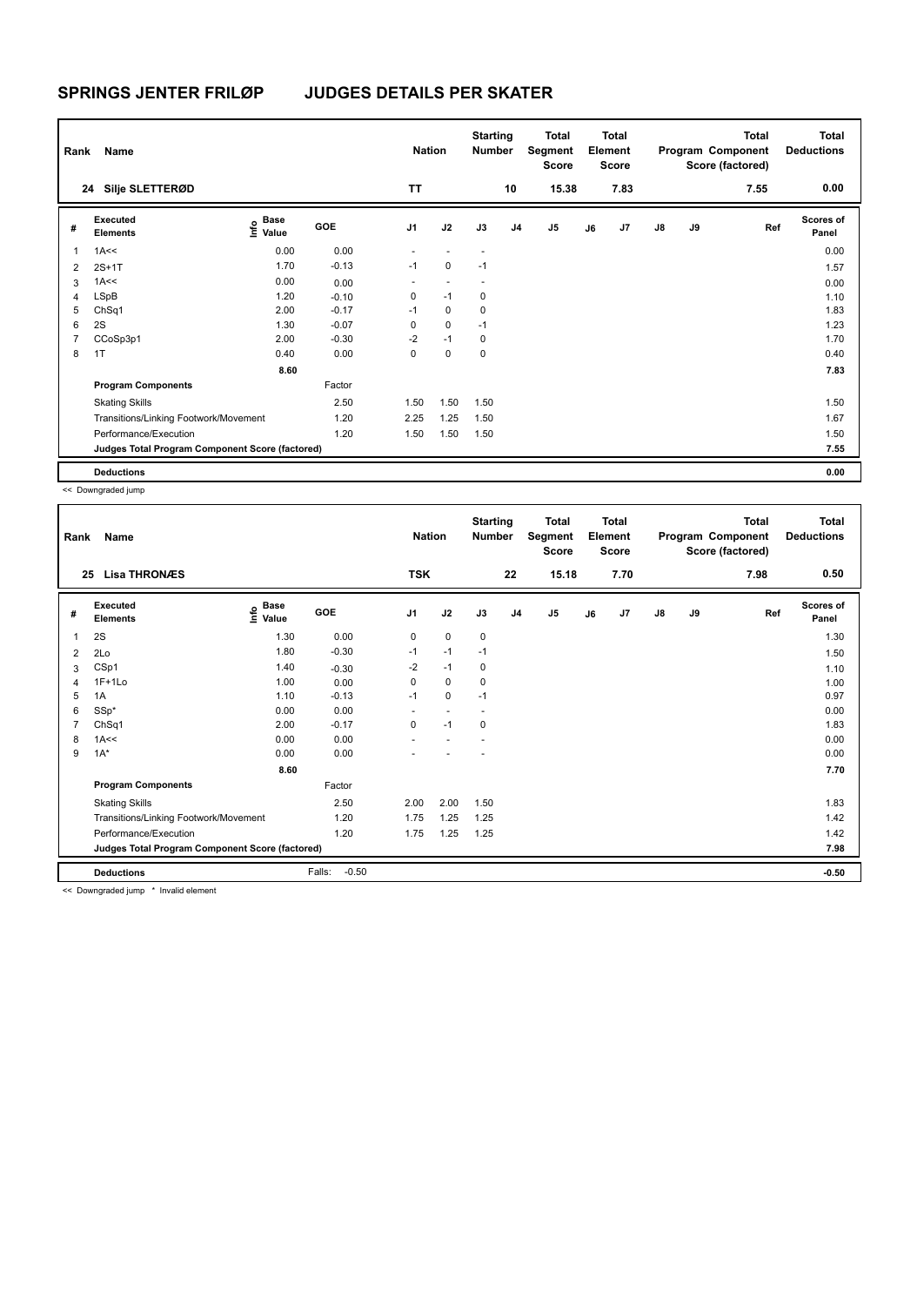| Rank           | Name                                            |                    |            | <b>Nation</b>  |             | <b>Starting</b><br><b>Number</b> |                | Total<br>Segment<br><b>Score</b> |    | <b>Total</b><br>Element<br><b>Score</b> |               |    | <b>Total</b><br>Program Component<br>Score (factored) | Total<br><b>Deductions</b> |
|----------------|-------------------------------------------------|--------------------|------------|----------------|-------------|----------------------------------|----------------|----------------------------------|----|-----------------------------------------|---------------|----|-------------------------------------------------------|----------------------------|
|                | 24 Silje SLETTERØD                              |                    |            | <b>TT</b>      |             |                                  | 10             | 15.38                            |    | 7.83                                    |               |    | 7.55                                                  | 0.00                       |
| #              | Executed<br><b>Elements</b>                     | $\frac{6}{5}$ Base | <b>GOE</b> | J <sub>1</sub> | J2          | J3                               | J <sub>4</sub> | J <sub>5</sub>                   | J6 | J7                                      | $\mathsf{J}8$ | J9 | Ref                                                   | <b>Scores of</b><br>Panel  |
| $\mathbf{1}$   | 1A<<                                            | 0.00               | 0.00       |                |             | $\overline{\phantom{a}}$         |                |                                  |    |                                         |               |    |                                                       | 0.00                       |
| 2              | $2S+1T$                                         | 1.70               | $-0.13$    | $-1$           | $\mathbf 0$ | $-1$                             |                |                                  |    |                                         |               |    |                                                       | 1.57                       |
| 3              | 1A<<                                            | 0.00               | 0.00       | ٠              |             |                                  |                |                                  |    |                                         |               |    |                                                       | 0.00                       |
| 4              | LSpB                                            | 1.20               | $-0.10$    | 0              | $-1$        | 0                                |                |                                  |    |                                         |               |    |                                                       | 1.10                       |
| 5              | ChSq1                                           | 2.00               | $-0.17$    | $-1$           | 0           | 0                                |                |                                  |    |                                         |               |    |                                                       | 1.83                       |
| 6              | 2S                                              | 1.30               | $-0.07$    | 0              | $\mathbf 0$ | $-1$                             |                |                                  |    |                                         |               |    |                                                       | 1.23                       |
| $\overline{7}$ | CCoSp3p1                                        | 2.00               | $-0.30$    | $-2$           | $-1$        | 0                                |                |                                  |    |                                         |               |    |                                                       | 1.70                       |
| 8              | 1T                                              | 0.40               | 0.00       | 0              | $\mathbf 0$ | $\mathbf 0$                      |                |                                  |    |                                         |               |    |                                                       | 0.40                       |
|                |                                                 | 8.60               |            |                |             |                                  |                |                                  |    |                                         |               |    |                                                       | 7.83                       |
|                | <b>Program Components</b>                       |                    | Factor     |                |             |                                  |                |                                  |    |                                         |               |    |                                                       |                            |
|                | <b>Skating Skills</b>                           |                    | 2.50       | 1.50           | 1.50        | 1.50                             |                |                                  |    |                                         |               |    |                                                       | 1.50                       |
|                | Transitions/Linking Footwork/Movement           |                    | 1.20       | 2.25           | 1.25        | 1.50                             |                |                                  |    |                                         |               |    |                                                       | 1.67                       |
|                | Performance/Execution                           |                    | 1.20       | 1.50           | 1.50        | 1.50                             |                |                                  |    |                                         |               |    |                                                       | 1.50                       |
|                | Judges Total Program Component Score (factored) |                    |            |                |             |                                  |                |                                  |    |                                         |               |    |                                                       | 7.55                       |
|                | <b>Deductions</b>                               |                    |            |                |             |                                  |                |                                  |    |                                         |               |    |                                                       | 0.00                       |

<< Downgraded jump

| Rank           | <b>Name</b>                                     |                              |                   | <b>Nation</b>  |      | <b>Starting</b><br><b>Number</b> |                | <b>Total</b><br>Segment<br><b>Score</b> |    | <b>Total</b><br>Element<br><b>Score</b> |               |    | <b>Total</b><br>Program Component<br>Score (factored) | <b>Total</b><br><b>Deductions</b> |
|----------------|-------------------------------------------------|------------------------------|-------------------|----------------|------|----------------------------------|----------------|-----------------------------------------|----|-----------------------------------------|---------------|----|-------------------------------------------------------|-----------------------------------|
|                | <b>Lisa THRONÆS</b><br>25                       |                              |                   | <b>TSK</b>     |      |                                  | 22             | 15.18                                   |    | 7.70                                    |               |    | 7.98                                                  | 0.50                              |
| #              | <b>Executed</b><br><b>Elements</b>              | <b>Base</b><br>lnfo<br>Value | GOE               | J <sub>1</sub> | J2   | J3                               | J <sub>4</sub> | J <sub>5</sub>                          | J6 | J7                                      | $\mathsf{J}8$ | J9 | Ref                                                   | <b>Scores of</b><br>Panel         |
| 1              | 2S                                              | 1.30                         | 0.00              | 0              | 0    | 0                                |                |                                         |    |                                         |               |    |                                                       | 1.30                              |
| $\overline{2}$ | 2Lo                                             | 1.80                         | $-0.30$           | $-1$           | $-1$ | $-1$                             |                |                                         |    |                                         |               |    |                                                       | 1.50                              |
| 3              | CSp1                                            | 1.40                         | $-0.30$           | $-2$           | $-1$ | 0                                |                |                                         |    |                                         |               |    |                                                       | 1.10                              |
| 4              | $1F+1Lo$                                        | 1.00                         | 0.00              | 0              | 0    | 0                                |                |                                         |    |                                         |               |    |                                                       | 1.00                              |
| 5              | 1A                                              | 1.10                         | $-0.13$           | $-1$           | 0    | $-1$                             |                |                                         |    |                                         |               |    |                                                       | 0.97                              |
| 6              | $SSp*$                                          | 0.00                         | 0.00              |                |      |                                  |                |                                         |    |                                         |               |    |                                                       | 0.00                              |
|                | ChSq1                                           | 2.00                         | $-0.17$           | 0              | $-1$ | 0                                |                |                                         |    |                                         |               |    |                                                       | 1.83                              |
| 8              | 1A<<                                            | 0.00                         | 0.00              |                |      |                                  |                |                                         |    |                                         |               |    |                                                       | 0.00                              |
| 9              | $1A^*$                                          | 0.00                         | 0.00              |                |      |                                  |                |                                         |    |                                         |               |    |                                                       | 0.00                              |
|                |                                                 | 8.60                         |                   |                |      |                                  |                |                                         |    |                                         |               |    |                                                       | 7.70                              |
|                | <b>Program Components</b>                       |                              | Factor            |                |      |                                  |                |                                         |    |                                         |               |    |                                                       |                                   |
|                | <b>Skating Skills</b>                           |                              | 2.50              | 2.00           | 2.00 | 1.50                             |                |                                         |    |                                         |               |    |                                                       | 1.83                              |
|                | Transitions/Linking Footwork/Movement           |                              | 1.20              | 1.75           | 1.25 | 1.25                             |                |                                         |    |                                         |               |    |                                                       | 1.42                              |
|                | Performance/Execution                           |                              | 1.20              | 1.75           | 1.25 | 1.25                             |                |                                         |    |                                         |               |    |                                                       | 1.42                              |
|                | Judges Total Program Component Score (factored) |                              |                   |                |      |                                  |                |                                         |    |                                         |               |    |                                                       | 7.98                              |
|                | <b>Deductions</b>                               |                              | Falls:<br>$-0.50$ |                |      |                                  |                |                                         |    |                                         |               |    |                                                       | $-0.50$                           |

<< Downgraded jump \* Invalid element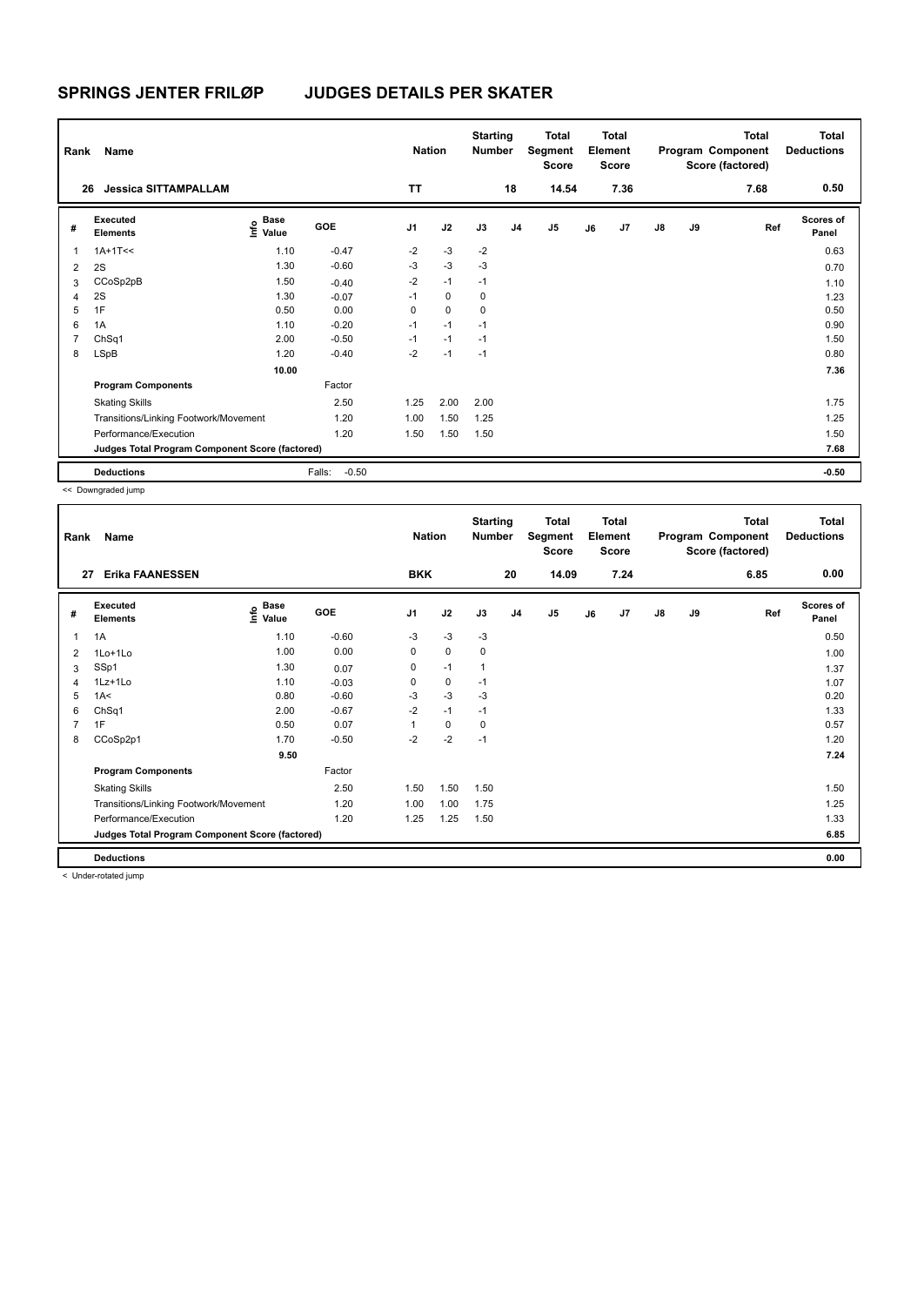| Rank<br>26   | Name<br><b>Jessica SITTAMPALLAM</b>             |                                    |                   | <b>Nation</b><br><b>TT</b> |             | <b>Starting</b><br><b>Number</b> | 18             | Total<br>Segment<br><b>Score</b><br>14.54 |    | <b>Total</b><br>Element<br><b>Score</b><br>7.36 |               |    | <b>Total</b><br>Program Component<br>Score (factored)<br>7.68 | Total<br><b>Deductions</b><br>0.50 |
|--------------|-------------------------------------------------|------------------------------------|-------------------|----------------------------|-------------|----------------------------------|----------------|-------------------------------------------|----|-------------------------------------------------|---------------|----|---------------------------------------------------------------|------------------------------------|
|              |                                                 |                                    |                   |                            |             |                                  |                |                                           |    |                                                 |               |    |                                                               |                                    |
| #            | Executed<br><b>Elements</b>                     | <b>Base</b><br>$\frac{6}{5}$ Value | <b>GOE</b>        | J <sub>1</sub>             | J2          | J3                               | J <sub>4</sub> | J <sub>5</sub>                            | J6 | J7                                              | $\mathsf{J}8$ | J9 | Ref                                                           | <b>Scores of</b><br>Panel          |
| $\mathbf{1}$ | $1A+1T<<$                                       | 1.10                               | $-0.47$           | $-2$                       | $-3$        | $-2$                             |                |                                           |    |                                                 |               |    |                                                               | 0.63                               |
| 2            | 2S                                              | 1.30                               | $-0.60$           | $-3$                       | $-3$        | $-3$                             |                |                                           |    |                                                 |               |    |                                                               | 0.70                               |
| 3            | CCoSp2pB                                        | 1.50                               | $-0.40$           | $-2$                       | $-1$        | $-1$                             |                |                                           |    |                                                 |               |    |                                                               | 1.10                               |
| 4            | 2S                                              | 1.30                               | $-0.07$           | $-1$                       | $\mathbf 0$ | 0                                |                |                                           |    |                                                 |               |    |                                                               | 1.23                               |
| 5            | 1F                                              | 0.50                               | 0.00              | 0                          | $\mathbf 0$ | 0                                |                |                                           |    |                                                 |               |    |                                                               | 0.50                               |
| 6            | 1A                                              | 1.10                               | $-0.20$           | $-1$                       | $-1$        | $-1$                             |                |                                           |    |                                                 |               |    |                                                               | 0.90                               |
| 7            | ChSq1                                           | 2.00                               | $-0.50$           | $-1$                       | $-1$        | $-1$                             |                |                                           |    |                                                 |               |    |                                                               | 1.50                               |
| 8            | LSpB                                            | 1.20                               | $-0.40$           | $-2$                       | $-1$        | $-1$                             |                |                                           |    |                                                 |               |    |                                                               | 0.80                               |
|              |                                                 | 10.00                              |                   |                            |             |                                  |                |                                           |    |                                                 |               |    |                                                               | 7.36                               |
|              | <b>Program Components</b>                       |                                    | Factor            |                            |             |                                  |                |                                           |    |                                                 |               |    |                                                               |                                    |
|              | <b>Skating Skills</b>                           |                                    | 2.50              | 1.25                       | 2.00        | 2.00                             |                |                                           |    |                                                 |               |    |                                                               | 1.75                               |
|              | Transitions/Linking Footwork/Movement           |                                    | 1.20              | 1.00                       | 1.50        | 1.25                             |                |                                           |    |                                                 |               |    |                                                               | 1.25                               |
|              | Performance/Execution                           |                                    | 1.20              | 1.50                       | 1.50        | 1.50                             |                |                                           |    |                                                 |               |    |                                                               | 1.50                               |
|              | Judges Total Program Component Score (factored) |                                    |                   |                            |             |                                  |                |                                           |    |                                                 |               |    |                                                               | 7.68                               |
|              | <b>Deductions</b>                               |                                    | Falls:<br>$-0.50$ |                            |             |                                  |                |                                           |    |                                                 |               |    |                                                               | $-0.50$                            |

<< Downgraded jump

| Rank           | Name                                            |                                      |         | <b>Nation</b>  |             | <b>Starting</b><br>Number |                | <b>Total</b><br>Segment<br><b>Score</b> |    | <b>Total</b><br>Element<br><b>Score</b> |               |    | <b>Total</b><br>Program Component<br>Score (factored) | Total<br><b>Deductions</b> |
|----------------|-------------------------------------------------|--------------------------------------|---------|----------------|-------------|---------------------------|----------------|-----------------------------------------|----|-----------------------------------------|---------------|----|-------------------------------------------------------|----------------------------|
| 27             | <b>Erika FAANESSEN</b>                          |                                      |         | <b>BKK</b>     |             |                           | 20             | 14.09                                   |    | 7.24                                    |               |    | 6.85                                                  | 0.00                       |
| #              | <b>Executed</b><br><b>Elements</b>              | Base<br>e <sup>Base</sup><br>⊆ Value | GOE     | J <sub>1</sub> | J2          | J3                        | J <sub>4</sub> | J5                                      | J6 | J7                                      | $\mathsf{J}8$ | J9 | Ref                                                   | <b>Scores of</b><br>Panel  |
| 1              | 1A                                              | 1.10                                 | $-0.60$ | $-3$           | $-3$        | $-3$                      |                |                                         |    |                                         |               |    |                                                       | 0.50                       |
| 2              | 1Lo+1Lo                                         | 1.00                                 | 0.00    | 0              | $\mathbf 0$ | 0                         |                |                                         |    |                                         |               |    |                                                       | 1.00                       |
| 3              | SSp1                                            | 1.30                                 | 0.07    | 0              | $-1$        | $\overline{1}$            |                |                                         |    |                                         |               |    |                                                       | 1.37                       |
| 4              | $1Lz+1Lo$                                       | 1.10                                 | $-0.03$ | 0              | 0           | $-1$                      |                |                                         |    |                                         |               |    |                                                       | 1.07                       |
| 5              | 1A<                                             | 0.80                                 | $-0.60$ | $-3$           | $-3$        | $-3$                      |                |                                         |    |                                         |               |    |                                                       | 0.20                       |
| 6              | ChSq1                                           | 2.00                                 | $-0.67$ | $-2$           | $-1$        | $-1$                      |                |                                         |    |                                         |               |    |                                                       | 1.33                       |
| $\overline{7}$ | 1F                                              | 0.50                                 | 0.07    |                | 0           | 0                         |                |                                         |    |                                         |               |    |                                                       | 0.57                       |
| 8              | CCoSp2p1                                        | 1.70                                 | $-0.50$ | $-2$           | $-2$        | $-1$                      |                |                                         |    |                                         |               |    |                                                       | 1.20                       |
|                |                                                 | 9.50                                 |         |                |             |                           |                |                                         |    |                                         |               |    |                                                       | 7.24                       |
|                | <b>Program Components</b>                       |                                      | Factor  |                |             |                           |                |                                         |    |                                         |               |    |                                                       |                            |
|                | <b>Skating Skills</b>                           |                                      | 2.50    | 1.50           | 1.50        | 1.50                      |                |                                         |    |                                         |               |    |                                                       | 1.50                       |
|                | Transitions/Linking Footwork/Movement           |                                      | 1.20    | 1.00           | 1.00        | 1.75                      |                |                                         |    |                                         |               |    |                                                       | 1.25                       |
|                | Performance/Execution                           |                                      | 1.20    | 1.25           | 1.25        | 1.50                      |                |                                         |    |                                         |               |    |                                                       | 1.33                       |
|                | Judges Total Program Component Score (factored) |                                      |         |                |             |                           |                |                                         |    |                                         |               |    |                                                       | 6.85                       |
|                | <b>Deductions</b>                               |                                      |         |                |             |                           |                |                                         |    |                                         |               |    |                                                       | 0.00                       |

< Under-rotated jump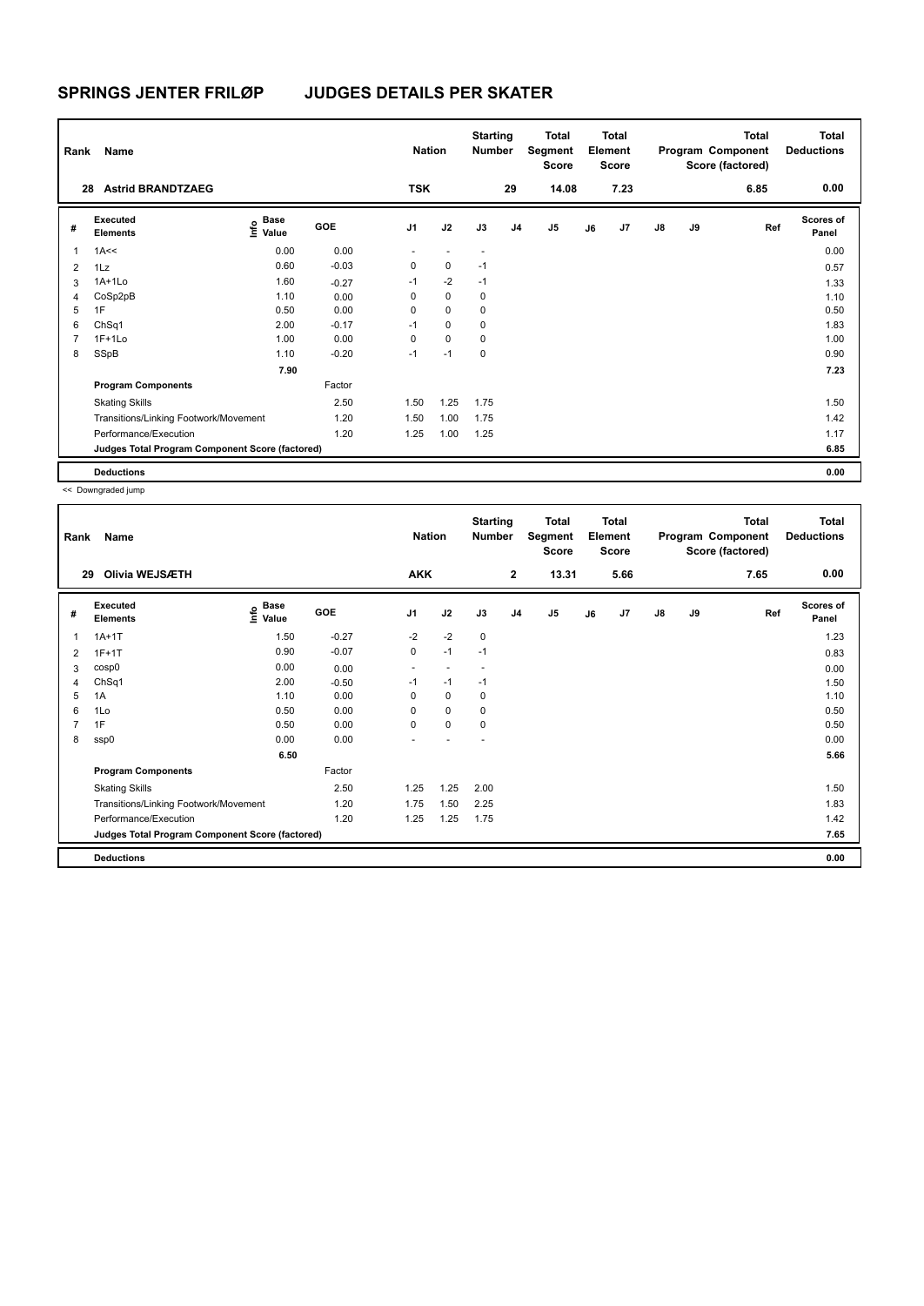| Rank           | Name                                            |                                  |         | <b>Nation</b>            |             | <b>Starting</b><br><b>Number</b> |                | Total<br>Segment<br><b>Score</b> |    | <b>Total</b><br>Element<br><b>Score</b> |               |    | <b>Total</b><br>Program Component<br>Score (factored) | Total<br><b>Deductions</b> |
|----------------|-------------------------------------------------|----------------------------------|---------|--------------------------|-------------|----------------------------------|----------------|----------------------------------|----|-----------------------------------------|---------------|----|-------------------------------------------------------|----------------------------|
| 28             | <b>Astrid BRANDTZAEG</b>                        |                                  |         | <b>TSK</b>               |             |                                  | 29             | 14.08                            |    | 7.23                                    |               |    | 6.85                                                  | 0.00                       |
| #              | Executed<br><b>Elements</b>                     | <b>Base</b><br>o Base<br>⊆ Value | GOE     | J <sub>1</sub>           | J2          | J3                               | J <sub>4</sub> | J <sub>5</sub>                   | J6 | J7                                      | $\mathsf{J}8$ | J9 | Ref                                                   | <b>Scores of</b><br>Panel  |
| 1              | 1A<<                                            | 0.00                             | 0.00    | $\overline{\phantom{0}}$ |             | $\overline{\phantom{a}}$         |                |                                  |    |                                         |               |    |                                                       | 0.00                       |
| $\overline{2}$ | 1Lz                                             | 0.60                             | $-0.03$ | 0                        | $\mathbf 0$ | $-1$                             |                |                                  |    |                                         |               |    |                                                       | 0.57                       |
| 3              | $1A+1Lo$                                        | 1.60                             | $-0.27$ | $-1$                     | $-2$        | $-1$                             |                |                                  |    |                                         |               |    |                                                       | 1.33                       |
| 4              | CoSp2pB                                         | 1.10                             | 0.00    | 0                        | $\mathbf 0$ | 0                                |                |                                  |    |                                         |               |    |                                                       | 1.10                       |
| 5              | 1F                                              | 0.50                             | 0.00    | 0                        | $\mathbf 0$ | 0                                |                |                                  |    |                                         |               |    |                                                       | 0.50                       |
| 6              | ChSq1                                           | 2.00                             | $-0.17$ | $-1$                     | $\mathbf 0$ | 0                                |                |                                  |    |                                         |               |    |                                                       | 1.83                       |
| 7              | $1F+1Lo$                                        | 1.00                             | 0.00    | $\Omega$                 | $\mathbf 0$ | 0                                |                |                                  |    |                                         |               |    |                                                       | 1.00                       |
| 8              | SSpB                                            | 1.10                             | $-0.20$ | $-1$                     | $-1$        | 0                                |                |                                  |    |                                         |               |    |                                                       | 0.90                       |
|                |                                                 | 7.90                             |         |                          |             |                                  |                |                                  |    |                                         |               |    |                                                       | 7.23                       |
|                | <b>Program Components</b>                       |                                  | Factor  |                          |             |                                  |                |                                  |    |                                         |               |    |                                                       |                            |
|                | <b>Skating Skills</b>                           |                                  | 2.50    | 1.50                     | 1.25        | 1.75                             |                |                                  |    |                                         |               |    |                                                       | 1.50                       |
|                | Transitions/Linking Footwork/Movement           |                                  | 1.20    | 1.50                     | 1.00        | 1.75                             |                |                                  |    |                                         |               |    |                                                       | 1.42                       |
|                | Performance/Execution                           |                                  | 1.20    | 1.25                     | 1.00        | 1.25                             |                |                                  |    |                                         |               |    |                                                       | 1.17                       |
|                | Judges Total Program Component Score (factored) |                                  |         |                          |             |                                  |                |                                  |    |                                         |               |    |                                                       | 6.85                       |
|                | <b>Deductions</b>                               |                                  |         |                          |             |                                  |                |                                  |    |                                         |               |    |                                                       | 0.00                       |

| Rank           | Name                                            |                                             |            | <b>Nation</b>  |                          | <b>Starting</b><br>Number |                | Total<br>Segment<br>Score |    | <b>Total</b><br>Element<br><b>Score</b> |               |    | <b>Total</b><br>Program Component<br>Score (factored) | <b>Total</b><br><b>Deductions</b> |
|----------------|-------------------------------------------------|---------------------------------------------|------------|----------------|--------------------------|---------------------------|----------------|---------------------------|----|-----------------------------------------|---------------|----|-------------------------------------------------------|-----------------------------------|
| 29             | Olivia WEJSÆTH                                  |                                             |            | <b>AKK</b>     |                          |                           | $\mathbf{2}$   | 13.31                     |    | 5.66                                    |               |    | 7.65                                                  | 0.00                              |
| #              | <b>Executed</b><br><b>Elements</b>              | <b>Base</b><br>e <sup>Base</sup><br>⊆ Value | <b>GOE</b> | J <sub>1</sub> | J2                       | J3                        | J <sub>4</sub> | J <sub>5</sub>            | J6 | J7                                      | $\mathsf{J}8$ | J9 | Ref                                                   | <b>Scores of</b><br>Panel         |
| 1              | $1A+1T$                                         | 1.50                                        | $-0.27$    | $-2$           | $-2$                     | $\mathbf 0$               |                |                           |    |                                         |               |    |                                                       | 1.23                              |
| $\overline{2}$ | $1F+1T$                                         | 0.90                                        | $-0.07$    | 0              | $-1$                     | $-1$                      |                |                           |    |                                         |               |    |                                                       | 0.83                              |
| 3              | cosp0                                           | 0.00                                        | 0.00       | $\sim$         | $\overline{\phantom{a}}$ |                           |                |                           |    |                                         |               |    |                                                       | 0.00                              |
| 4              | ChSq1                                           | 2.00                                        | $-0.50$    | $-1$           | $-1$                     | $-1$                      |                |                           |    |                                         |               |    |                                                       | 1.50                              |
| 5              | 1A                                              | 1.10                                        | 0.00       | $\Omega$       | 0                        | 0                         |                |                           |    |                                         |               |    |                                                       | 1.10                              |
| 6              | 1Lo                                             | 0.50                                        | 0.00       | 0              | $\mathbf 0$              | $\mathbf 0$               |                |                           |    |                                         |               |    |                                                       | 0.50                              |
| $\overline{7}$ | 1F                                              | 0.50                                        | 0.00       | 0              | $\mathbf 0$              | 0                         |                |                           |    |                                         |               |    |                                                       | 0.50                              |
| 8              | ssp0                                            | 0.00                                        | 0.00       |                |                          |                           |                |                           |    |                                         |               |    |                                                       | 0.00                              |
|                |                                                 | 6.50                                        |            |                |                          |                           |                |                           |    |                                         |               |    |                                                       | 5.66                              |
|                | <b>Program Components</b>                       |                                             | Factor     |                |                          |                           |                |                           |    |                                         |               |    |                                                       |                                   |
|                | <b>Skating Skills</b>                           |                                             | 2.50       | 1.25           | 1.25                     | 2.00                      |                |                           |    |                                         |               |    |                                                       | 1.50                              |
|                | Transitions/Linking Footwork/Movement           |                                             | 1.20       | 1.75           | 1.50                     | 2.25                      |                |                           |    |                                         |               |    |                                                       | 1.83                              |
|                | Performance/Execution                           |                                             | 1.20       | 1.25           | 1.25                     | 1.75                      |                |                           |    |                                         |               |    |                                                       | 1.42                              |
|                | Judges Total Program Component Score (factored) |                                             |            |                |                          |                           |                |                           |    |                                         |               |    |                                                       | 7.65                              |
|                | <b>Deductions</b>                               |                                             |            |                |                          |                           |                |                           |    |                                         |               |    |                                                       | 0.00                              |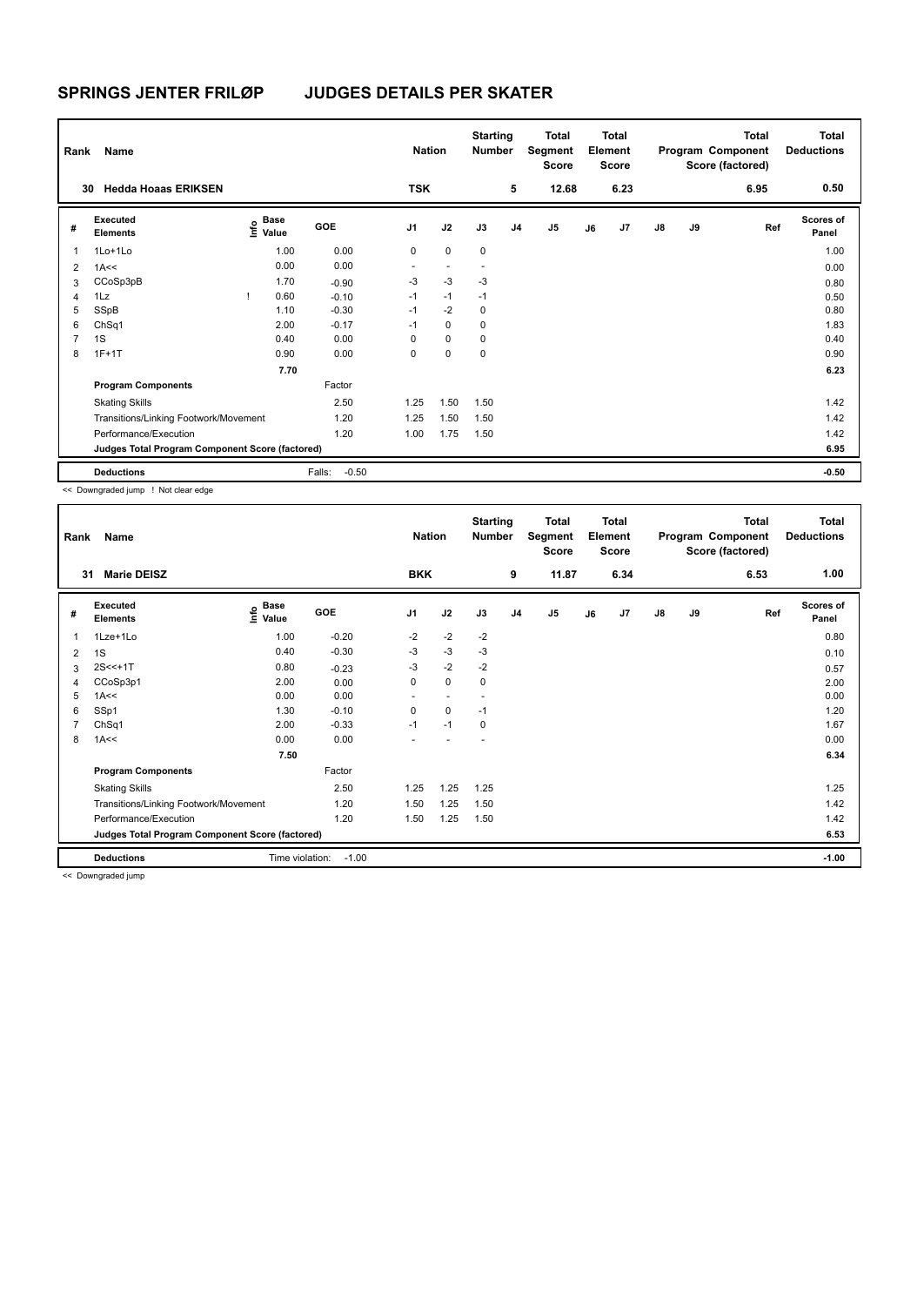| Rank           | Name                                            |                                  |                   | <b>Nation</b>  |                          | <b>Starting</b><br><b>Number</b> |                | Total<br>Segment<br>Score |    | <b>Total</b><br>Element<br><b>Score</b> |               |    | <b>Total</b><br>Program Component<br>Score (factored) | <b>Total</b><br><b>Deductions</b> |
|----------------|-------------------------------------------------|----------------------------------|-------------------|----------------|--------------------------|----------------------------------|----------------|---------------------------|----|-----------------------------------------|---------------|----|-------------------------------------------------------|-----------------------------------|
| 30             | <b>Hedda Hoaas ERIKSEN</b>                      |                                  |                   | <b>TSK</b>     |                          |                                  | 5              | 12.68                     |    | 6.23                                    |               |    | 6.95                                                  | 0.50                              |
| #              | Executed<br><b>Elements</b>                     | <b>Base</b><br>o Base<br>⊆ Value | GOE               | J <sub>1</sub> | J2                       | J3                               | J <sub>4</sub> | J <sub>5</sub>            | J6 | J7                                      | $\mathsf{J}8$ | J9 | Ref                                                   | <b>Scores of</b><br>Panel         |
| $\mathbf{1}$   | 1Lo+1Lo                                         | 1.00                             | 0.00              | 0              | $\mathbf 0$              | $\mathbf 0$                      |                |                           |    |                                         |               |    |                                                       | 1.00                              |
| $\overline{2}$ | 1A<<                                            | 0.00                             | 0.00              | ٠              | $\overline{\phantom{a}}$ | $\overline{\phantom{a}}$         |                |                           |    |                                         |               |    |                                                       | 0.00                              |
| 3              | CCoSp3pB                                        | 1.70                             | $-0.90$           | $-3$           | $-3$                     | -3                               |                |                           |    |                                         |               |    |                                                       | 0.80                              |
| 4              | 1Lz                                             | 0.60                             | $-0.10$           | $-1$           | $-1$                     | $-1$                             |                |                           |    |                                         |               |    |                                                       | 0.50                              |
| 5              | SSpB                                            | 1.10                             | $-0.30$           | $-1$           | $-2$                     | $\mathbf 0$                      |                |                           |    |                                         |               |    |                                                       | 0.80                              |
| 6              | ChSq1                                           | 2.00                             | $-0.17$           | $-1$           | $\mathbf 0$              | 0                                |                |                           |    |                                         |               |    |                                                       | 1.83                              |
| $\overline{7}$ | 1S                                              | 0.40                             | 0.00              | 0              | $\mathbf 0$              | 0                                |                |                           |    |                                         |               |    |                                                       | 0.40                              |
| 8              | $1F+1T$                                         | 0.90                             | 0.00              | 0              | $\mathbf 0$              | 0                                |                |                           |    |                                         |               |    |                                                       | 0.90                              |
|                |                                                 | 7.70                             |                   |                |                          |                                  |                |                           |    |                                         |               |    |                                                       | 6.23                              |
|                | <b>Program Components</b>                       |                                  | Factor            |                |                          |                                  |                |                           |    |                                         |               |    |                                                       |                                   |
|                | <b>Skating Skills</b>                           |                                  | 2.50              | 1.25           | 1.50                     | 1.50                             |                |                           |    |                                         |               |    |                                                       | 1.42                              |
|                | Transitions/Linking Footwork/Movement           |                                  | 1.20              | 1.25           | 1.50                     | 1.50                             |                |                           |    |                                         |               |    |                                                       | 1.42                              |
|                | Performance/Execution                           |                                  | 1.20              | 1.00           | 1.75                     | 1.50                             |                |                           |    |                                         |               |    |                                                       | 1.42                              |
|                | Judges Total Program Component Score (factored) |                                  |                   |                |                          |                                  |                |                           |    |                                         |               |    |                                                       | 6.95                              |
|                | <b>Deductions</b>                               |                                  | $-0.50$<br>Falls: |                |                          |                                  |                |                           |    |                                         |               |    |                                                       | $-0.50$                           |

<< Downgraded jump ! Not clear edge

| Rank | Name                                            |                                             |            | <b>Nation</b>            |                | <b>Starting</b><br><b>Number</b> |                | <b>Total</b><br>Segment<br><b>Score</b> |    | <b>Total</b><br>Element<br><b>Score</b> |               |    | <b>Total</b><br>Program Component<br>Score (factored) | Total<br><b>Deductions</b> |
|------|-------------------------------------------------|---------------------------------------------|------------|--------------------------|----------------|----------------------------------|----------------|-----------------------------------------|----|-----------------------------------------|---------------|----|-------------------------------------------------------|----------------------------|
|      | <b>Marie DEISZ</b><br>31                        |                                             |            | <b>BKK</b>               |                |                                  | 9              | 11.87                                   |    | 6.34                                    |               |    | 6.53                                                  | 1.00                       |
| #    | Executed<br><b>Elements</b>                     | <b>Base</b><br>e <sup>Base</sup><br>⊆ Value | <b>GOE</b> | J <sub>1</sub>           | J2             | J3                               | J <sub>4</sub> | J5                                      | J6 | J7                                      | $\mathsf{J}8$ | J9 | Ref                                                   | <b>Scores of</b><br>Panel  |
|      | 1Lze+1Lo                                        | 1.00                                        | $-0.20$    | $-2$                     | $-2$           | $-2$                             |                |                                         |    |                                         |               |    |                                                       | 0.80                       |
| 2    | 1S                                              | 0.40                                        | $-0.30$    | $-3$                     | $-3$           | $-3$                             |                |                                         |    |                                         |               |    |                                                       | 0.10                       |
| 3    | $2S < +1T$                                      | 0.80                                        | $-0.23$    | $-3$                     | $-2$           | $-2$                             |                |                                         |    |                                         |               |    |                                                       | 0.57                       |
| Δ    | CCoSp3p1                                        | 2.00                                        | 0.00       | $\pmb{0}$                | $\mathbf 0$    | 0                                |                |                                         |    |                                         |               |    |                                                       | 2.00                       |
| 5    | 1A<<                                            | 0.00                                        | 0.00       | ٠                        | $\blacksquare$ |                                  |                |                                         |    |                                         |               |    |                                                       | 0.00                       |
| 6    | SSp1                                            | 1.30                                        | $-0.10$    | $\mathbf 0$              | $\mathbf 0$    | $-1$                             |                |                                         |    |                                         |               |    |                                                       | 1.20                       |
|      | ChSq1                                           | 2.00                                        | $-0.33$    | $-1$                     | $-1$           | 0                                |                |                                         |    |                                         |               |    |                                                       | 1.67                       |
| 8    | 1A<<                                            | 0.00                                        | 0.00       | $\overline{\phantom{a}}$ |                |                                  |                |                                         |    |                                         |               |    |                                                       | 0.00                       |
|      |                                                 | 7.50                                        |            |                          |                |                                  |                |                                         |    |                                         |               |    |                                                       | 6.34                       |
|      | <b>Program Components</b>                       |                                             | Factor     |                          |                |                                  |                |                                         |    |                                         |               |    |                                                       |                            |
|      | <b>Skating Skills</b>                           |                                             | 2.50       | 1.25                     | 1.25           | 1.25                             |                |                                         |    |                                         |               |    |                                                       | 1.25                       |
|      | Transitions/Linking Footwork/Movement           |                                             | 1.20       | 1.50                     | 1.25           | 1.50                             |                |                                         |    |                                         |               |    |                                                       | 1.42                       |
|      | Performance/Execution                           |                                             | 1.20       | 1.50                     | 1.25           | 1.50                             |                |                                         |    |                                         |               |    |                                                       | 1.42                       |
|      | Judges Total Program Component Score (factored) |                                             |            |                          |                |                                  |                |                                         |    |                                         |               |    |                                                       | 6.53                       |
|      | <b>Deductions</b>                               | Time violation:                             | $-1.00$    |                          |                |                                  |                |                                         |    |                                         |               |    |                                                       | $-1.00$                    |